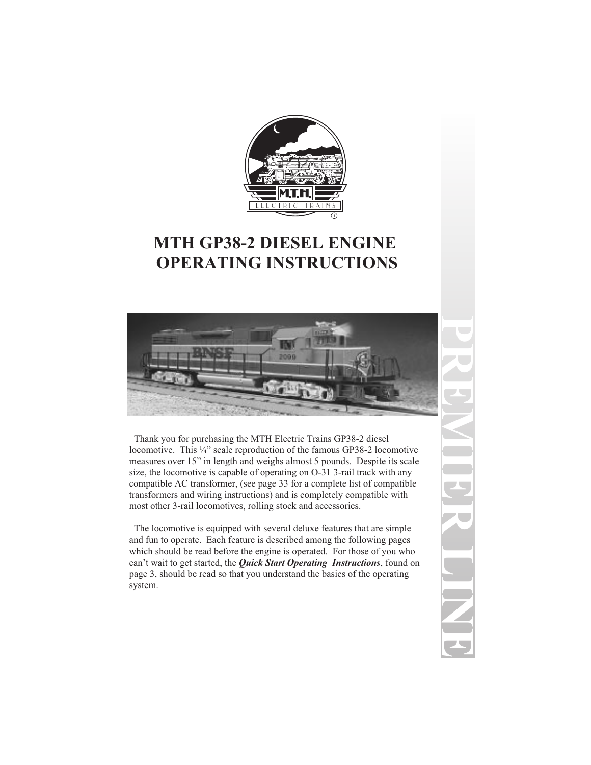

# **MTH GP38-2 DIESEL ENGINE OPERATING INSTRUCTIONS**



Thank you for purchasing the MTH Electric Trains GP38-2 diesel locomotive. This ¼" scale reproduction of the famous GP38-2 locomotive measures over 15" in length and weighs almost 5 pounds. Despite its scale size, the locomotive is capable of operating on O-31 3-rail track with any compatible AC transformer, (see page 33 for a complete list of compatible transformers and wiring instructions) and is completely compatible with most other 3-rail locomotives, rolling stock and accessories.

The locomotive is equipped with several deluxe features that are simple and fun to operate. Each feature is described among the following pages which should be read before the engine is operated. For those of you who can't wait to get started, the *Quick Start Operating Instructions*, found on page 3, should be read so that you understand the basics of the operating system.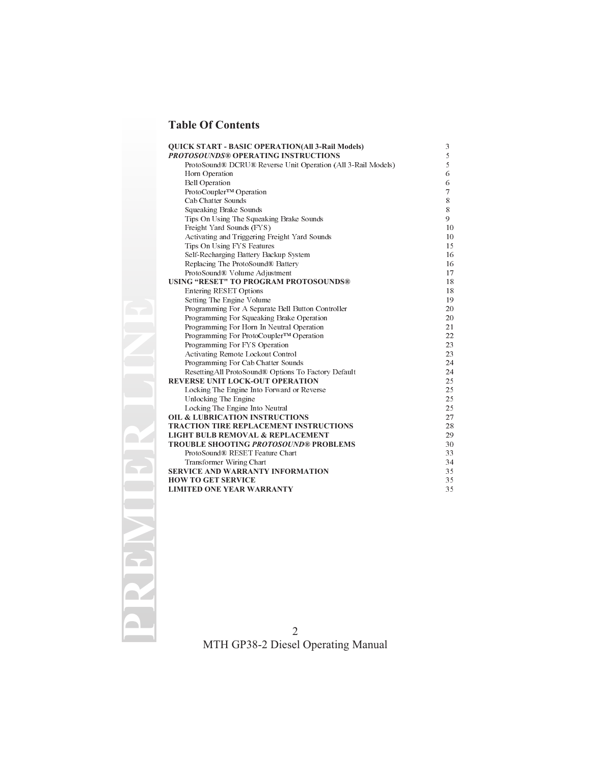### **Table Of Contents**

| <b>OUICK START - BASIC OPERATION(All 3-Rail Models)</b><br><b>PROTOSOUNDS® OPERATING INSTRUCTIONS</b> | 3<br>5 |
|-------------------------------------------------------------------------------------------------------|--------|
| ProtoSound® DCRU® Reverse Unit Operation (All 3-Rail Models)                                          | 5      |
| Horn Operation                                                                                        | 6      |
| <b>Bell Operation</b>                                                                                 | 6      |
| ProtoCoupler™ Operation                                                                               | 7      |
| Cab Chatter Sounds                                                                                    | 8      |
| Squeaking Brake Sounds                                                                                | 8      |
| Tips On Using The Squeaking Brake Sounds                                                              | 9      |
| Freight Yard Sounds (FYS)                                                                             | 10     |
| Activating and Triggering Freight Yard Sounds                                                         | 10     |
| Tips On Using FYS Features                                                                            | 15     |
| Self-Recharging Battery Backup System                                                                 | 16     |
| Replacing The ProtoSound® Battery                                                                     | 16     |
| ProtoSound® Volume Adjustment                                                                         | 17     |
| USING "RESET" TO PROGRAM PROTOSOUNDS®                                                                 | 18     |
| <b>Entering RESET Options</b>                                                                         | 18     |
| Setting The Engine Volume                                                                             | 19     |
| Programming For A Separate Bell Button Controller                                                     | 20     |
| Programming For Squeaking Brake Operation                                                             | 20     |
| Programming For Horn In Neutral Operation                                                             | 21     |
| Programming For ProtoCoupler™ Operation                                                               | 22     |
| Programming For FYS Operation                                                                         | 23     |
| Activating Remote Lockout Control                                                                     | 23     |
| Programming For Cab Chatter Sounds                                                                    | 24     |
| Resetting All ProtoSound® Options To Factory Default                                                  | 24     |
| REVERSE UNIT LOCK-OUT OPERATION                                                                       | 25     |
| Locking The Engine Into Forward or Reverse                                                            | 25     |
| Unlocking The Engine                                                                                  | 25     |
| Locking The Engine Into Neutral                                                                       | 25     |
| <b>OIL &amp; LUBRICATION INSTRUCTIONS</b>                                                             | 27     |
| <b>TRACTION TIRE REPLACEMENT INSTRUCTIONS</b>                                                         | 28     |
| <b>LIGHT BULB REMOVAL &amp; REPLACEMENT</b>                                                           | 29     |
| <b>TROUBLE SHOOTING PROTOSOUND® PROBLEMS</b>                                                          | 30     |
| ProtoSound® RESET Feature Chart                                                                       | 33     |
| Transformer Wiring Chart                                                                              | 34     |
| <b>SERVICE AND WARRANTY INFORMATION</b>                                                               | 35     |
| <b>HOW TO GET SERVICE</b>                                                                             | 35     |
| <b>LIMITED ONE YEAR WARRANTY</b>                                                                      | 35     |
|                                                                                                       |        |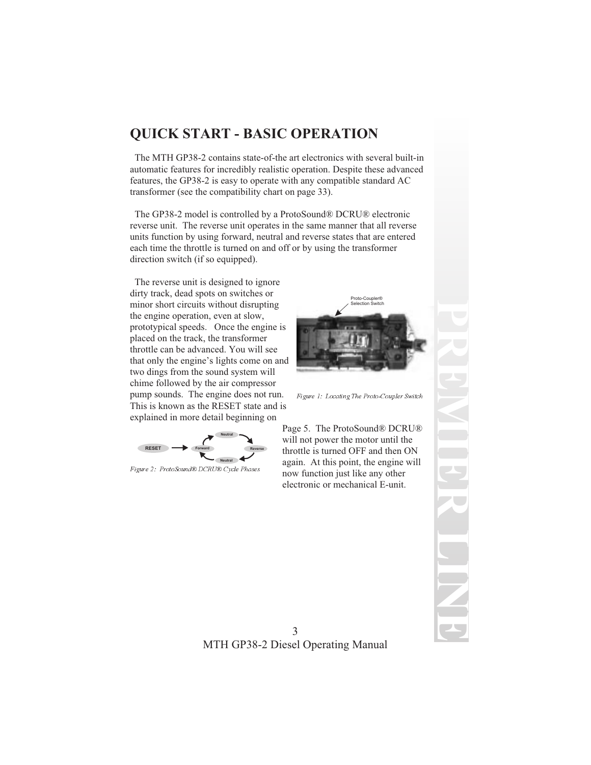# **QUICK START - BASIC OPERATION**

The MTH GP38-2 contains state-of-the art electronics with several built-in automatic features for incredibly realistic operation. Despite these advanced features, the GP38-2 is easy to operate with any compatible standard AC transformer (see the compatibility chart on page 33).

The GP38-2 model is controlled by a ProtoSound® DCRU® electronic reverse unit. The reverse unit operates in the same manner that all reverse units function by using forward, neutral and reverse states that are entered each time the throttle is turned on and off or by using the transformer direction switch (if so equipped).

The reverse unit is designed to ignore dirty track, dead spots on switches or minor short circuits without disrupting the engine operation, even at slow, prototypical speeds. Once the engine is placed on the track, the transformer throttle can be advanced. You will see that only the engine's lights come on and two dings from the sound system will chime followed by the air compressor pump sounds. The engine does not run. This is known as the RESET state and is explained in more detail beginning on



Figure 2: ProtoSound® DCRU® Cycle Phases



Figure 1: Locating The Proto-Coupler Switch

Page 5. The ProtoSound® DCRU® will not power the motor until the throttle is turned OFF and then ON again. At this point, the engine will now function just like any other electronic or mechanical E-unit.

**PREMIERLINE**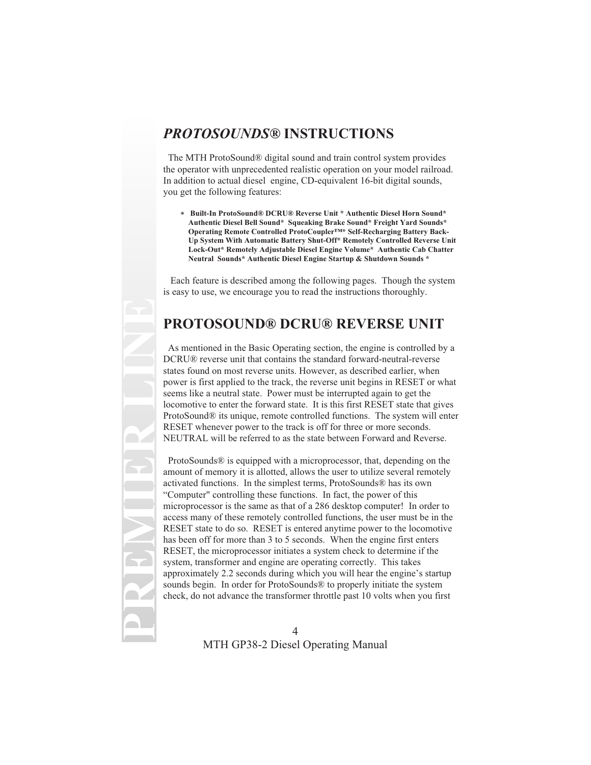## *PROTOSOUNDS®* **INSTRUCTIONS**

The MTH ProtoSound® digital sound and train control system provides the operator with unprecedented realistic operation on your model railroad. In addition to actual diesel engine, CD-equivalent 16-bit digital sounds, you get the following features:

\* **Built-In ProtoSound® DCRU® Reverse Unit \* Authentic Diesel Horn Sound\* Authentic Diesel Bell Sound\* Squeaking Brake Sound\* Freight Yard Sounds\* Operating Remote Controlled ProtoCoupler™\* Self-Recharging Battery Back-Up System With Automatic Battery Shut-Off\* Remotely Controlled Reverse Unit Lock-Out\* Remotely Adjustable Diesel Engine Volume\* Authentic Cab Chatter Neutral Sounds\* Authentic Diesel Engine Startup & Shutdown Sounds \***

Each feature is described among the following pages. Though the system is easy to use, we encourage you to read the instructions thoroughly.

## **PROTOSOUND® DCRU® REVERSE UNIT**

As mentioned in the Basic Operating section, the engine is controlled by a DCRU® reverse unit that contains the standard forward-neutral-reverse states found on most reverse units. However, as described earlier, when power is first applied to the track, the reverse unit begins in RESET or what seems like a neutral state. Power must be interrupted again to get the locomotive to enter the forward state. It is this first RESET state that gives ProtoSound® its unique, remote controlled functions. The system will enter RESET whenever power to the track is off for three or more seconds. NEUTRAL will be referred to as the state between Forward and Reverse.

ProtoSounds® is equipped with a microprocessor, that, depending on the amount of memory it is allotted, allows the user to utilize several remotely activated functions. In the simplest terms, ProtoSounds® has its own "Computer" controlling these functions. In fact, the power of this microprocessor is the same as that of a 286 desktop computer! In order to access many of these remotely controlled functions, the user must be in the RESET state to do so. RESET is entered anytime power to the locomotive has been off for more than 3 to 5 seconds. When the engine first enters RESET, the microprocessor initiates a system check to determine if the system, transformer and engine are operating correctly. This takes approximately 2.2 seconds during which you will hear the engine's startup sounds begin. In order for ProtoSounds® to properly initiate the system check, do not advance the transformer throttle past 10 volts when you first

**PREMIER LINE**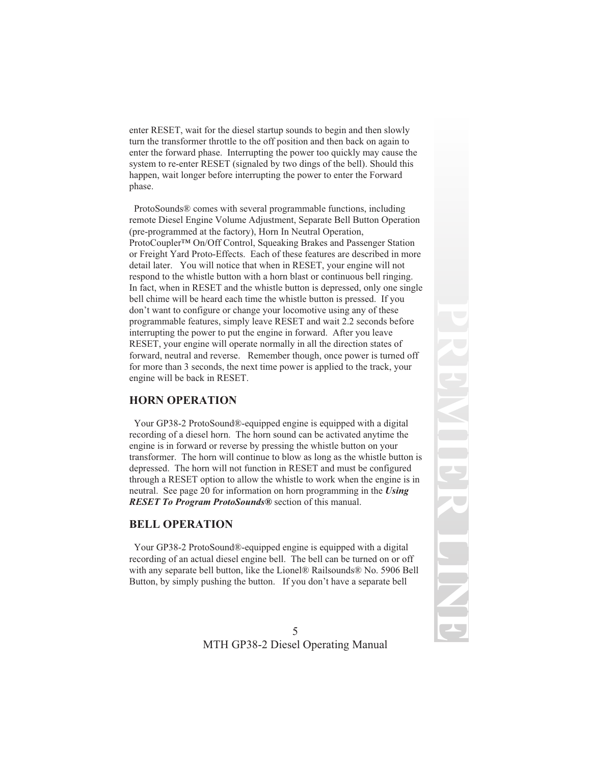enter RESET, wait for the diesel startup sounds to begin and then slowly turn the transformer throttle to the off position and then back on again to enter the forward phase. Interrupting the power too quickly may cause the system to re-enter RESET (signaled by two dings of the bell). Should this happen, wait longer before interrupting the power to enter the Forward phase.

ProtoSounds® comes with several programmable functions, including remote Diesel Engine Volume Adjustment, Separate Bell Button Operation (pre-programmed at the factory), Horn In Neutral Operation, ProtoCoupler™ On/Off Control, Squeaking Brakes and Passenger Station or Freight Yard Proto-Effects. Each of these features are described in more detail later. You will notice that when in RESET, your engine will not respond to the whistle button with a horn blast or continuous bell ringing. In fact, when in RESET and the whistle button is depressed, only one single bell chime will be heard each time the whistle button is pressed. If you don't want to configure or change your locomotive using any of these programmable features, simply leave RESET and wait 2.2 seconds before interrupting the power to put the engine in forward. After you leave RESET, your engine will operate normally in all the direction states of forward, neutral and reverse. Remember though, once power is turned off for more than 3 seconds, the next time power is applied to the track, your engine will be back in RESET.

#### **HORN OPERATION**

Your GP38-2 ProtoSound®-equipped engine is equipped with a digital recording of a diesel horn. The horn sound can be activated anytime the engine is in forward or reverse by pressing the whistle button on your transformer. The horn will continue to blow as long as the whistle button is depressed. The horn will not function in RESET and must be configured through a RESET option to allow the whistle to work when the engine is in neutral. See page 20 for information on horn programming in the *Using RESET To Program ProtoSounds®* section of this manual.

### **BELL OPERATION**

Your GP38-2 ProtoSound®-equipped engine is equipped with a digital recording of an actual diesel engine bell. The bell can be turned on or off with any separate bell button, like the Lionel® Railsounds® No. 5906 Bell Button, by simply pushing the button. If you don't have a separate bell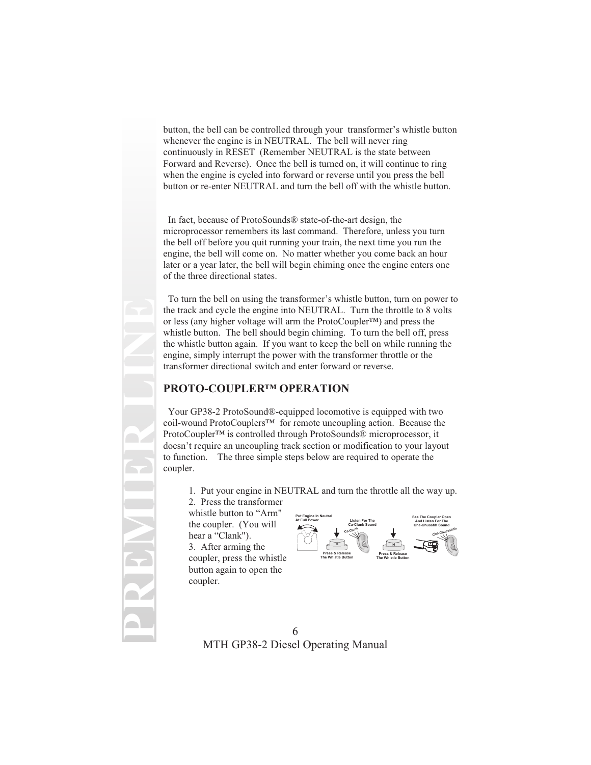button, the bell can be controlled through your transformer's whistle button whenever the engine is in NEUTRAL. The bell will never ring continuously in RESET (Remember NEUTRAL is the state between Forward and Reverse). Once the bell is turned on, it will continue to ring when the engine is cycled into forward or reverse until you press the bell button or re-enter NEUTRAL and turn the bell off with the whistle button.

In fact, because of ProtoSounds® state-of-the-art design, the microprocessor remembers its last command. Therefore, unless you turn the bell off before you quit running your train, the next time you run the engine, the bell will come on. No matter whether you come back an hour later or a year later, the bell will begin chiming once the engine enters one of the three directional states.

To turn the bell on using the transformer's whistle button, turn on power to the track and cycle the engine into NEUTRAL. Turn the throttle to 8 volts or less (any higher voltage will arm the ProtoCoupler™) and press the whistle button. The bell should begin chiming. To turn the bell off, press the whistle button again. If you want to keep the bell on while running the engine, simply interrupt the power with the transformer throttle or the transformer directional switch and enter forward or reverse.

### **PROTO-COUPLER™ OPERATION**

Your GP38-2 ProtoSound®-equipped locomotive is equipped with two coil-wound ProtoCouplers™ for remote uncoupling action. Because the ProtoCoupler™ is controlled through ProtoSounds® microprocessor, it doesn't require an uncoupling track section or modification to your layout to function. The three simple steps below are required to operate the coupler.

1. Put your engine in NEUTRAL and turn the throttle all the way up.

2. Press the transformer whistle button to "Arm" the coupler. (You will hear a "Clank").

**PREMIER LINE**

3. After arming the coupler, press the whistle button again to open the coupler.

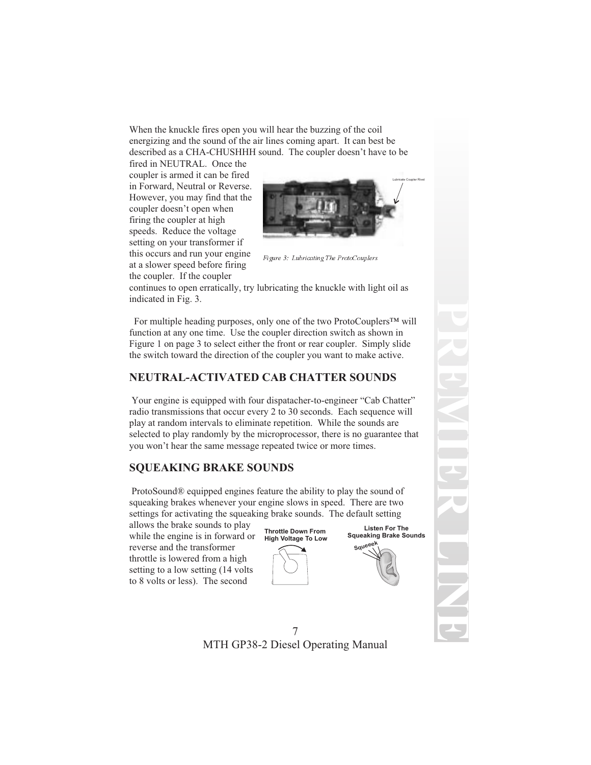When the knuckle fires open you will hear the buzzing of the coil energizing and the sound of the air lines coming apart. It can best be described as a CHA-CHUSHHH sound. The coupler doesn't have to be

fired in NEUTRAL. Once the coupler is armed it can be fired in Forward, Neutral or Reverse. However, you may find that the coupler doesn't open when firing the coupler at high speeds. Reduce the voltage setting on your transformer if this occurs and run your engine at a slower speed before firing the coupler. If the coupler



Figure 3: Lubricating The ProtoCouplers

continues to open erratically, try lubricating the knuckle with light oil as indicated in Fig. 3.

For multiple heading purposes, only one of the two ProtoCouplers™ will function at any one time. Use the coupler direction switch as shown in Figure 1 on page 3 to select either the front or rear coupler. Simply slide the switch toward the direction of the coupler you want to make active.

### **NEUTRAL-ACTIVATED CAB CHATTER SOUNDS**

Your engine is equipped with four dispatacher-to-engineer "Cab Chatter" radio transmissions that occur every 2 to 30 seconds. Each sequence will play at random intervals to eliminate repetition. While the sounds are selected to play randomly by the microprocessor, there is no guarantee that you won't hear the same message repeated twice or more times.

#### **SQUEAKING BRAKE SOUNDS**

ProtoSound® equipped engines feature the ability to play the sound of squeaking brakes whenever your engine slows in speed. There are two settings for activating the squeaking brake sounds. The default setting

allows the brake sounds to play while the engine is in forward or reverse and the transformer throttle is lowered from a high setting to a low setting (14 volts to 8 volts or less). The second

**Throttle Down From High Voltage To Low**



**Squeeek Listen For The Squeaking Brake Sounds**

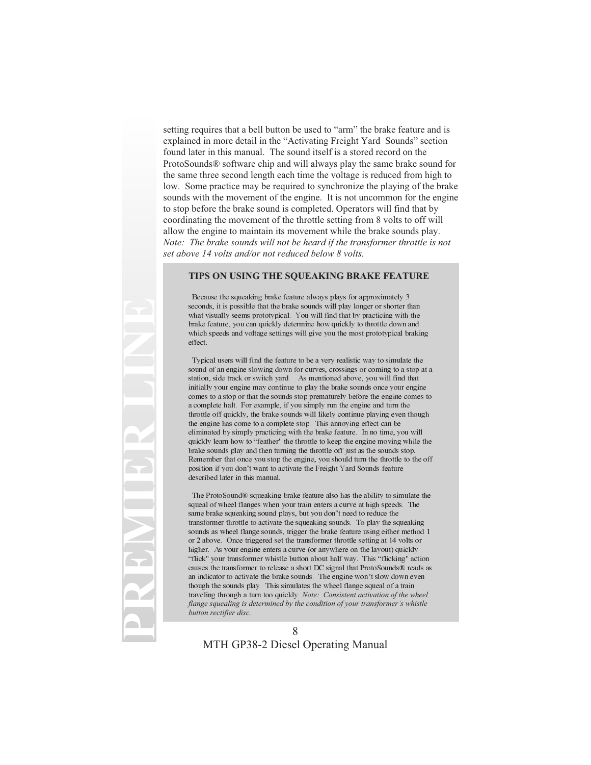setting requires that a bell button be used to "arm" the brake feature and is explained in more detail in the "Activating Freight Yard Sounds" section found later in this manual. The sound itself is a stored record on the ProtoSounds® software chip and will always play the same brake sound for the same three second length each time the voltage is reduced from high to low. Some practice may be required to synchronize the playing of the brake sounds with the movement of the engine. It is not uncommon for the engine to stop before the brake sound is completed. Operators will find that by coordinating the movement of the throttle setting from 8 volts to off will allow the engine to maintain its movement while the brake sounds play. *Note: The brake sounds will not be heard if the transformer throttle is not set above 14 volts and/or not reduced below 8 volts.*

#### **TIPS ON USING THE SQUEAKING BRAKE FEATURE**

Because the squeaking brake feature always plays for approximately 3 seconds, it is possible that the brake sounds will play longer or shorter than what visually seems prototypical. You will find that by practicing with the brake feature, you can quickly determine how quickly to throttle down and which speeds and voltage settings will give you the most prototypical braking effect.

Typical users will find the feature to be a very realistic way to simulate the sound of an engine slowing down for curves, crossings or coming to a stop at a station, side track or switch yard. As mentioned above, you will find that initially your engine may continue to play the brake sounds once your engine comes to a stop or that the sounds stop prematurely before the engine comes to a complete halt. For example, if you simply run the engine and turn the throttle off quickly, the brake sounds will likely continue playing even though the engine has come to a complete stop. This annoying effect can be eliminated by simply practicing with the brake feature. In no time, you will quickly learn how to "feather" the throttle to keep the engine moving while the brake sounds play and then turning the throttle off just as the sounds stop. Remember that once you stop the engine, you should turn the throttle to the off position if you don't want to activate the Freight Yard Sounds feature described later in this manual.

The ProtoSound® squeaking brake feature also has the ability to simulate the squeal of wheel flanges when your train enters a curve at high speeds. The same brake squeaking sound plays, but you don't need to reduce the transformer throttle to activate the squeaking sounds. To play the squeaking sounds as wheel flange sounds, trigger the brake feature using either method 1 or 2 above. Once triggered set the transformer throttle setting at 14 volts or higher. As your engine enters a curve (or anywhere on the layout) quickly "flick" your transformer whistle button about half way. This "flicking" action causes the transformer to release a short DC signal that ProtoSounds® reads as an indicator to activate the brake sounds. The engine won't slow down even though the sounds play. This simulates the wheel flange squeal of a train traveling through a turn too quickly. *Note: Consistent activation of the wheel flange squealing is determined by the condition of your transformer's whistle button rectifier disc.*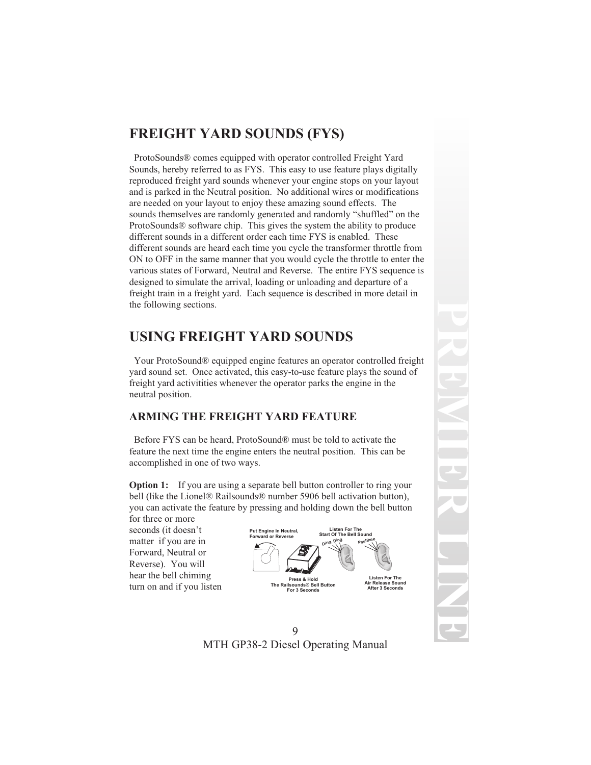# **FREIGHT YARD SOUNDS (FYS)**

ProtoSounds® comes equipped with operator controlled Freight Yard Sounds, hereby referred to as FYS. This easy to use feature plays digitally reproduced freight yard sounds whenever your engine stops on your layout and is parked in the Neutral position. No additional wires or modifications are needed on your layout to enjoy these amazing sound effects. The sounds themselves are randomly generated and randomly "shuffled" on the ProtoSounds® software chip. This gives the system the ability to produce different sounds in a different order each time FYS is enabled. These different sounds are heard each time you cycle the transformer throttle from ON to OFF in the same manner that you would cycle the throttle to enter the various states of Forward, Neutral and Reverse. The entire FYS sequence is designed to simulate the arrival, loading or unloading and departure of a freight train in a freight yard. Each sequence is described in more detail in the following sections.

## **USING FREIGHT YARD SOUNDS**

Your ProtoSound® equipped engine features an operator controlled freight yard sound set. Once activated, this easy-to-use feature plays the sound of freight yard activitities whenever the operator parks the engine in the neutral position.

### **ARMING THE FREIGHT YARD FEATURE**

Before FYS can be heard, ProtoSound® must be told to activate the feature the next time the engine enters the neutral position. This can be accomplished in one of two ways.

**Option 1:** If you are using a separate bell button controller to ring your bell (like the Lionel® Railsounds® number 5906 bell activation button), you can activate the feature by pressing and holding down the bell button

for three or more seconds (it doesn't matter if you are in Forward, Neutral or Reverse). You will hear the bell chiming turn on and if you listen

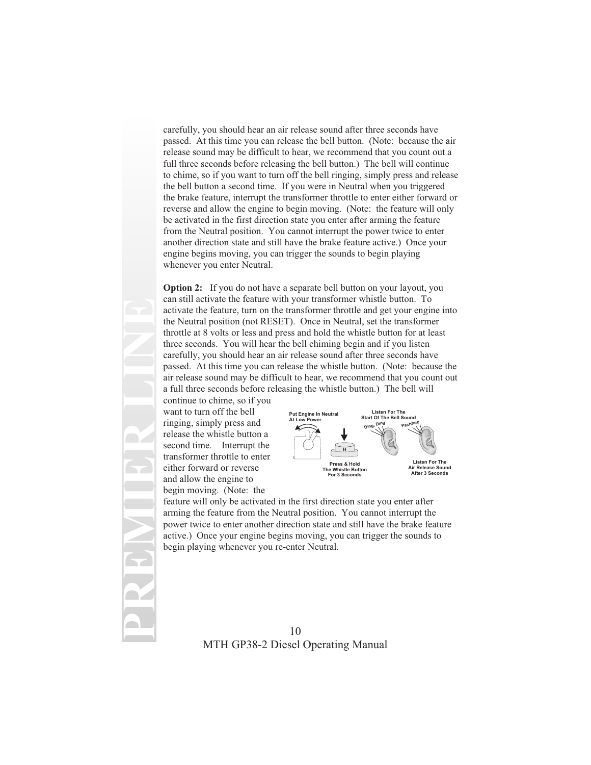carefully, you should hear an air release sound after three seconds have passed. At this time you can release the bell button. (Note: because the air release sound may be difficult to hear, we recommend that you count out a full three seconds before releasing the bell button.) The bell will continue to chime, so if you want to turn off the bell ringing, simply press and release the bell button a second time. If you were in Neutral when you triggered the brake feature, interrupt the transformer throttle to enter either forward or reverse and allow the engine to begin moving. (Note: the feature will only be activated in the first direction state you enter after arming the feature from the Neutral position. You cannot interrupt the power twice to enter another direction state and still have the brake feature active.) Once your engine begins moving, you can trigger the sounds to begin playing whenever you enter Neutral.

**Option 2:** If you do not have a separate bell button on your layout, you can still activate the feature with your transformer whistle button. To activate the feature, turn on the transformer throttle and get your engine into the Neutral position (not RESET). Once in Neutral, set the transformer throttle at 8 volts or less and press and hold the whistle button for at least three seconds. You will hear the bell chiming begin and if you listen carefully, you should hear an air release sound after three seconds have passed. At this time you can release the whistle button. (Note: because the air release sound may be difficult to hear, we recommend that you count out a full three seconds before releasing the whistle button.) The bell will

continue to chime, so if you want to turn off the bell ringing, simply press and release the whistle button a second time. Interrupt the transformer throttle to enter either forward or reverse and allow the engine to begin moving. (Note: the

**PREMIER LINE**



feature will only be activated in the first direction state you enter after arming the feature from the Neutral position. You cannot interrupt the power twice to enter another direction state and still have the brake feature active.) Once your engine begins moving, you can trigger the sounds to begin playing whenever you re-enter Neutral.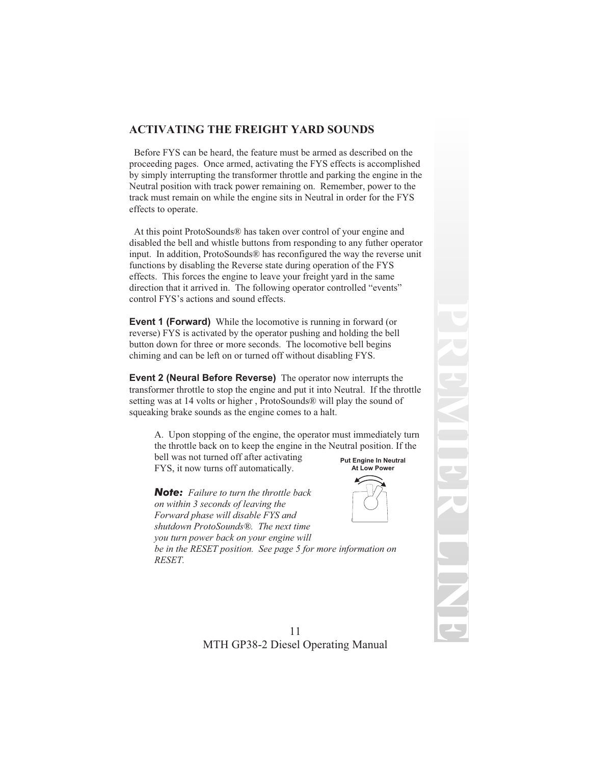### **ACTIVATING THE FREIGHT YARD SOUNDS**

Before FYS can be heard, the feature must be armed as described on the proceeding pages. Once armed, activating the FYS effects is accomplished by simply interrupting the transformer throttle and parking the engine in the Neutral position with track power remaining on. Remember, power to the track must remain on while the engine sits in Neutral in order for the FYS effects to operate.

At this point ProtoSounds® has taken over control of your engine and disabled the bell and whistle buttons from responding to any futher operator input. In addition, ProtoSounds® has reconfigured the way the reverse unit functions by disabling the Reverse state during operation of the FYS effects. This forces the engine to leave your freight yard in the same direction that it arrived in. The following operator controlled "events" control FYS's actions and sound effects.

**Event 1 (Forward)** While the locomotive is running in forward (or reverse) FYS is activated by the operator pushing and holding the bell button down for three or more seconds. The locomotive bell begins chiming and can be left on or turned off without disabling FYS.

**Event 2 (Neural Before Reverse)** The operator now interrupts the transformer throttle to stop the engine and put it into Neutral. If the throttle setting was at 14 volts or higher , ProtoSounds® will play the sound of squeaking brake sounds as the engine comes to a halt.

A. Upon stopping of the engine, the operator must immediately turn the throttle back on to keep the engine in the Neutral position. If the

bell was not turned off after activating FYS, it now turns off automatically.

*Note: Failure to turn the throttle back on within 3 seconds of leaving the Forward phase will disable FYS and shutdown ProtoSounds®. The next time you turn power back on your engine will*



*be in the RESET position. See page 5 for more information on RESET.*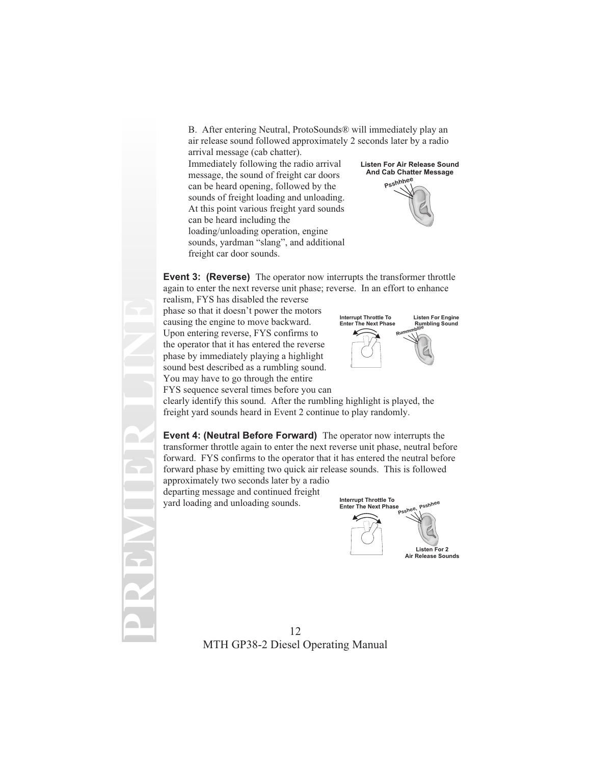B. After entering Neutral, ProtoSounds® will immediately play an air release sound followed approximately 2 seconds later by a radio arrival message (cab chatter).

Immediately following the radio arrival message, the sound of freight car doors can be heard opening, followed by the sounds of freight loading and unloading. At this point various freight yard sounds can be heard including the loading/unloading operation, engine sounds, yardman "slang", and additional freight car door sounds.

**Listen For Air Release Sound And Cab Chatter Message Psshhhee**



**Event 3: (Reverse)** The operator now interrupts the transformer throttle again to enter the next reverse unit phase; reverse. In an effort to enhance

realism, FYS has disabled the reverse phase so that it doesn't power the motors causing the engine to move backward. Upon entering reverse, FYS confirms to the operator that it has entered the reverse phase by immediately playing a highlight sound best described as a rumbling sound. You may have to go through the entire

FYS sequence several times before you can

**PREMIER LINE**



clearly identify this sound. After the rumbling highlight is played, the freight yard sounds heard in Event 2 continue to play randomly.

**Event 4: (Neutral Before Forward)** The operator now interrupts the transformer throttle again to enter the next reverse unit phase, neutral before forward. FYS confirms to the operator that it has entered the neutral before forward phase by emitting two quick air release sounds. This is followed approximately two seconds later by a radio departing message and continued freight yard loading and unloading sounds. **Interrupt Throttle To Enter The Next Phase**

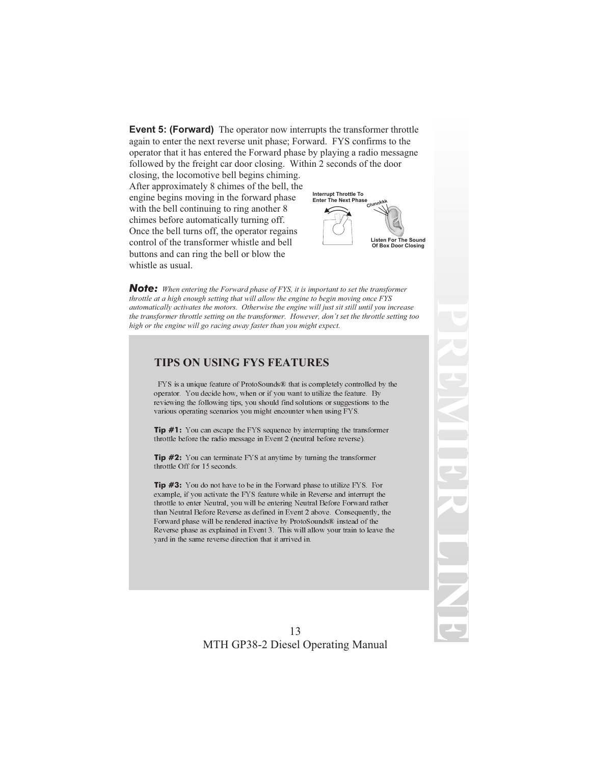**Event 5: (Forward)** The operator now interrupts the transformer throttle again to enter the next reverse unit phase; Forward. FYS confirms to the operator that it has entered the Forward phase by playing a radio messagne followed by the freight car door closing. Within 2 seconds of the door

closing, the locomotive bell begins chiming. After approximately 8 chimes of the bell, the engine begins moving in the forward phase with the bell continuing to ring another 8 chimes before automatically turning off. Once the bell turns off, the operator regains control of the transformer whistle and bell buttons and can ring the bell or blow the whistle as usual.



**PREMIER**

**LINE**

*Note: When entering the Forward phase of FYS, it is important to set the transformer throttle at a high enough setting that will allow the engine to begin moving once FYS automatically activates the motors. Otherwise the engine will just sit still until you increase the transformer throttle setting on the transformer. However, don't set the throttle setting too high or the engine will go racing away faster than you might expect.*

#### **TIPS ON USING FYS FEATURES**

FYS is a unique feature of ProtoSounds® that is completely controlled by the operator. You decide how, when or if you want to utilize the feature. By reviewing the following tips, you should find solutions or suggestions to the various operating scenarios you might encounter when using FYS.

**Tip #1:** You can escape the FYS sequence by interrupting the transformer throttle before the radio message in Event 2 (neutral before reverse).

**Tip #2:** You can terminate FYS at anytime by turning the transformer throttle Off for 15 seconds.

**Tip #3:** You do not have to be in the Forward phase to utilize FYS. For example, if you activate the FYS feature while in Reverse and interrupt the throttle to enter Neutral, you will be entering Neutral Before Forward rather than Neutral Before Reverse as defined in Event 2 above. Consequently, the Forward phase will be rendered inactive by ProtoSounds® instead of the Reverse phase as explained in Event 3. This will allow your train to leave the yard in the same reverse direction that it arrived in.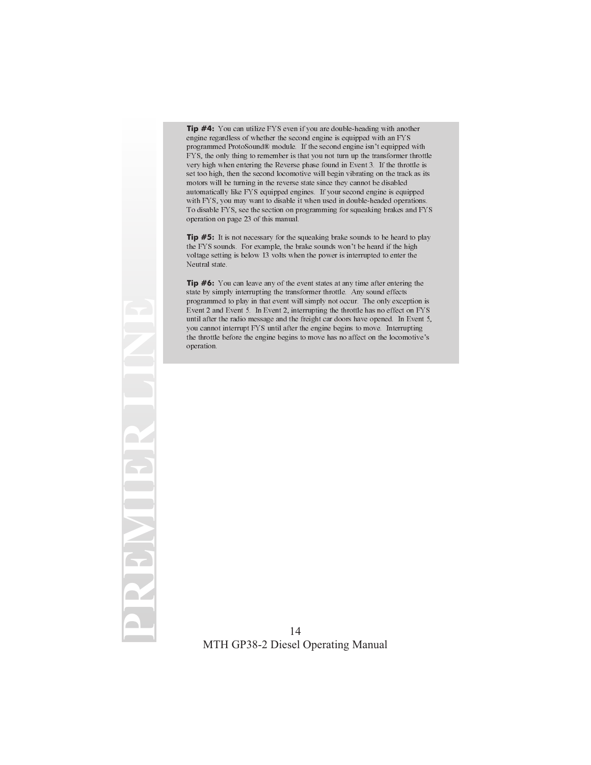**Tip #4:** You can utilize FYS even if you are double-heading with another engine regardless of whether the second engine is equipped with an FYS programmed ProtoSound® module. If the second engine isn't equipped with FYS, the only thing to remember is that you not turn up the transformer throttle very high when entering the Reverse phase found in Event 3. If the throttle is set too high, then the second locomotive will begin vibrating on the track as its motors will be turning in the reverse state since they cannot be disabled automatically like FYS equipped engines. If your second engine is equipped with FYS, you may want to disable it when used in double-headed operations. To disable FYS, see the section on programming for squeaking brakes and FYS operation on page 23 of this manual.

**Tip #5:** It is not necessary for the squeaking brake sounds to be heard to play the FYS sounds. For example, the brake sounds won't be heard if the high voltage setting is below 13 volts when the power is interrupted to enter the Neutral state.

**Tip #6:** You can leave any of the event states at any time after entering the state by simply interrupting the transformer throttle. Any sound effects programmed to play in that event will simply not occur. The only exception is Event 2 and Event 5. In Event 2, interrupting the throttle has no effect on FYS until after the radio message and the freight car doors have opened. In Event 5, you cannot interrupt FYS until after the engine begins to move. Interrupting the throttle before the engine begins to move has no affect on the locomotive's operation.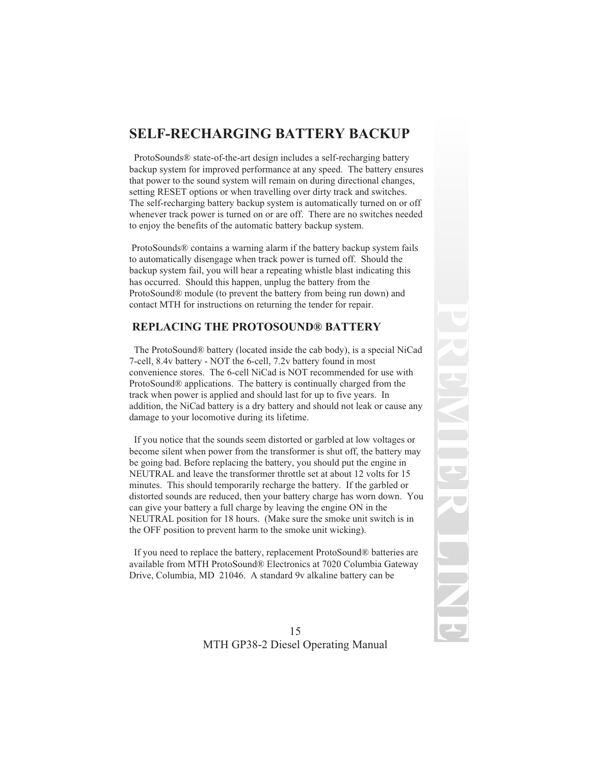# **SELF-RECHARGING BATTERY BACKUP**

ProtoSounds® state-of-the-art design includes a self-recharging battery backup system for improved performance at any speed. The battery ensures that power to the sound system will remain on during directional changes, setting RESET options or when travelling over dirty track and switches. The self-recharging battery backup system is automatically turned on or off whenever track power is turned on or are off. There are no switches needed to enjoy the benefits of the automatic battery backup system.

ProtoSounds® contains a warning alarm if the battery backup system fails to automatically disengage when track power is turned off. Should the backup system fail, you will hear a repeating whistle blast indicating this has occurred. Should this happen, unplug the battery from the ProtoSound® module (to prevent the battery from being run down) and contact MTH for instructions on returning the tender for repair.

#### **REPLACING THE PROTOSOUND® BATTERY**

The ProtoSound® battery (located inside the cab body), is a special NiCad 7-cell, 8.4v battery - NOT the 6-cell, 7.2v battery found in most convenience stores. The 6-cell NiCad is NOT recommended for use with ProtoSound® applications. The battery is continually charged from the track when power is applied and should last for up to five years. In addition, the NiCad battery is a dry battery and should not leak or cause any damage to your locomotive during its lifetime.

If you notice that the sounds seem distorted or garbled at low voltages or become silent when power from the transformer is shut off, the battery may be going bad. Before replacing the battery, you should put the engine in NEUTRAL and leave the transformer throttle set at about 12 volts for 15 minutes. This should temporarily recharge the battery. If the garbled or distorted sounds are reduced, then your battery charge has worn down. You can give your battery a full charge by leaving the engine ON in the NEUTRAL position for 18 hours. (Make sure the smoke unit switch is in the OFF position to prevent harm to the smoke unit wicking).

If you need to replace the battery, replacement ProtoSound® batteries are available from MTH ProtoSound® Electronics at 7020 Columbia Gateway Drive, Columbia, MD 21046. A standard 9v alkaline battery can be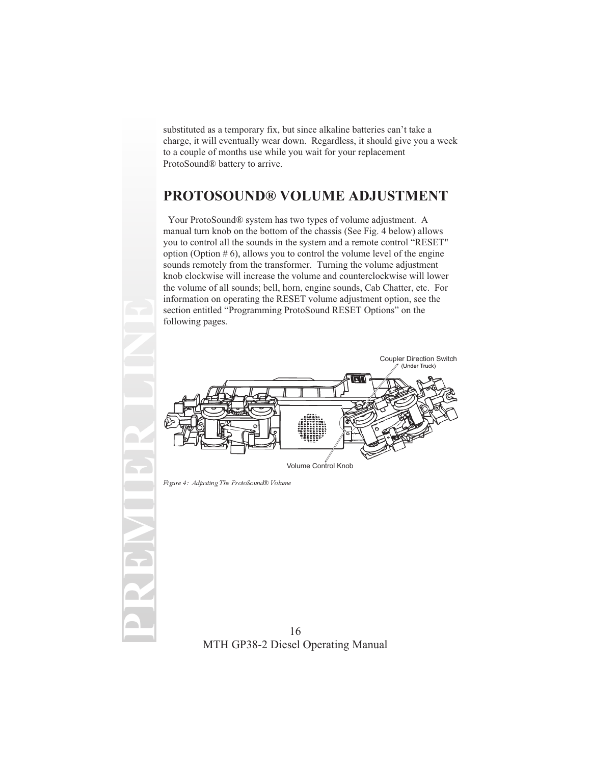substituted as a temporary fix, but since alkaline batteries can't take a charge, it will eventually wear down. Regardless, it should give you a week to a couple of months use while you wait for your replacement ProtoSound® battery to arrive.

## **PROTOSOUND® VOLUME ADJUSTMENT**

Your ProtoSound® system has two types of volume adjustment. A manual turn knob on the bottom of the chassis (See Fig. 4 below) allows you to control all the sounds in the system and a remote control "RESET" option (Option  $# 6$ ), allows you to control the volume level of the engine sounds remotely from the transformer. Turning the volume adjustment knob clockwise will increase the volume and counterclockwise will lower the volume of all sounds; bell, horn, engine sounds, Cab Chatter, etc. For information on operating the RESET volume adjustment option, see the section entitled "Programming ProtoSound RESET Options" on the following pages.



Figure 4: Adjusting The ProtoSound® Volume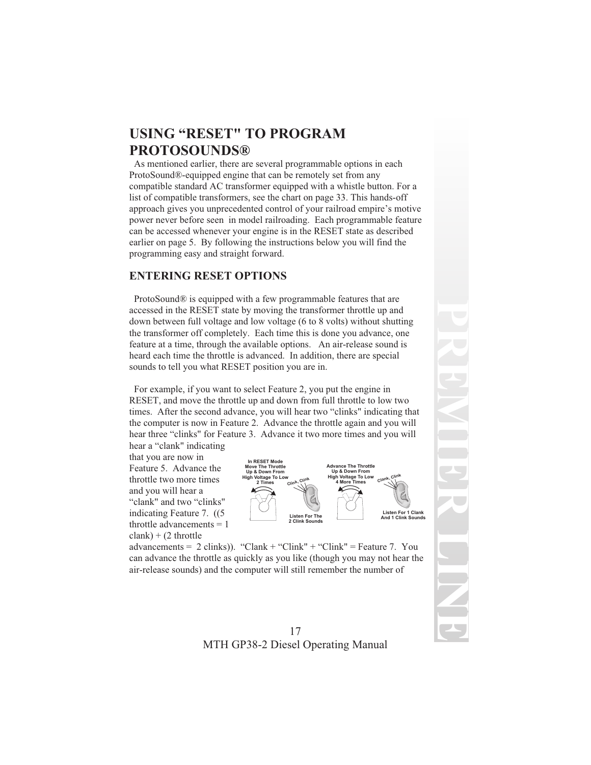# **USING "RESET" TO PROGRAM PROTOSOUNDS®**

As mentioned earlier, there are several programmable options in each ProtoSound®-equipped engine that can be remotely set from any compatible standard AC transformer equipped with a whistle button. For a list of compatible transformers, see the chart on page 33. This hands-off approach gives you unprecedented control of your railroad empire's motive power never before seen in model railroading. Each programmable feature can be accessed whenever your engine is in the RESET state as described earlier on page 5. By following the instructions below you will find the programming easy and straight forward.

### **ENTERING RESET OPTIONS**

ProtoSound® is equipped with a few programmable features that are accessed in the RESET state by moving the transformer throttle up and down between full voltage and low voltage (6 to 8 volts) without shutting the transformer off completely. Each time this is done you advance, one feature at a time, through the available options. An air-release sound is heard each time the throttle is advanced. In addition, there are special sounds to tell you what RESET position you are in.

For example, if you want to select Feature 2, you put the engine in RESET, and move the throttle up and down from full throttle to low two times. After the second advance, you will hear two "clinks" indicating that the computer is now in Feature 2. Advance the throttle again and you will hear three "clinks" for Feature 3. Advance it two more times and you will

hear a "clank" indicating that you are now in Feature 5. Advance the throttle two more times and you will hear a "clank" and two "clinks" indicating Feature 7. ((5 throttle advancements = 1  $clank) + (2 throttle)$ 



advancements =  $2 \text{ clinks}$ ). "Clank + "Clink" + "Clink" = Feature 7. You can advance the throttle as quickly as you like (though you may not hear the air-release sounds) and the computer will still remember the number of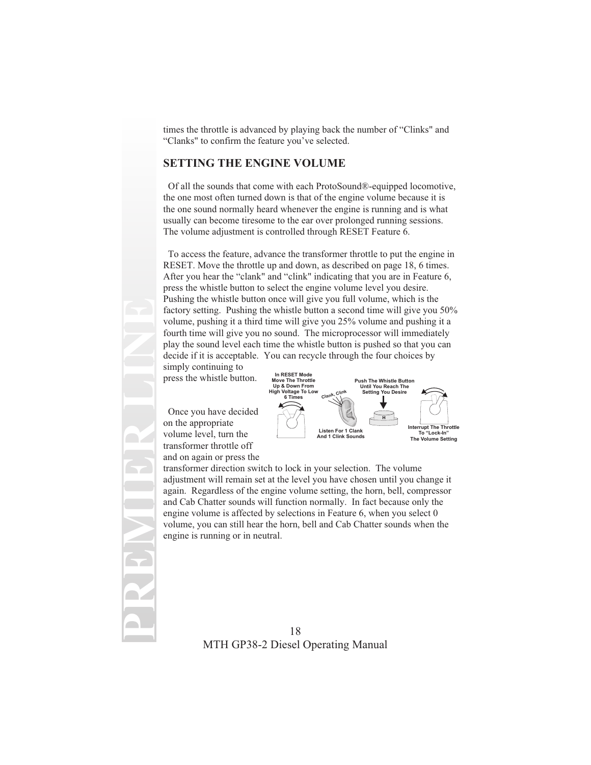times the throttle is advanced by playing back the number of "Clinks" and "Clanks" to confirm the feature you've selected.

#### **SETTING THE ENGINE VOLUME**

Of all the sounds that come with each ProtoSound®-equipped locomotive, the one most often turned down is that of the engine volume because it is the one sound normally heard whenever the engine is running and is what usually can become tiresome to the ear over prolonged running sessions. The volume adjustment is controlled through RESET Feature 6.

To access the feature, advance the transformer throttle to put the engine in RESET. Move the throttle up and down, as described on page 18, 6 times. After you hear the "clank" and "clink" indicating that you are in Feature 6, press the whistle button to select the engine volume level you desire. Pushing the whistle button once will give you full volume, which is the factory setting. Pushing the whistle button a second time will give you 50% volume, pushing it a third time will give you 25% volume and pushing it a fourth time will give you no sound. The microprocessor will immediately play the sound level each time the whistle button is pushed so that you can decide if it is acceptable. You can recycle through the four choices by

simply continuing to press the whistle button.

Once you have decided on the appropriate volume level, turn the transformer throttle off and on again or press the

**PREMIER LINE**



transformer direction switch to lock in your selection. The volume adjustment will remain set at the level you have chosen until you change it again. Regardless of the engine volume setting, the horn, bell, compressor and Cab Chatter sounds will function normally. In fact because only the engine volume is affected by selections in Feature 6, when you select 0 volume, you can still hear the horn, bell and Cab Chatter sounds when the engine is running or in neutral.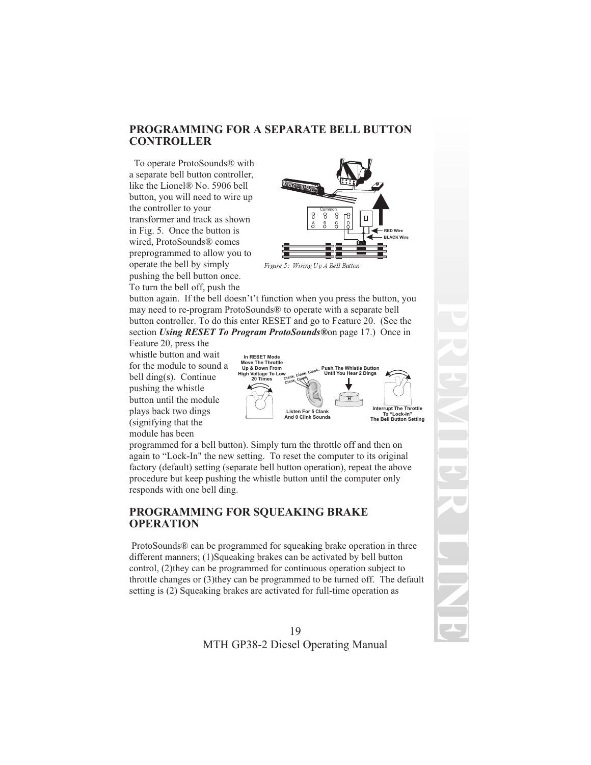#### **PROGRAMMING FOR A SEPARATE BELL BUTTON CONTROLLER**

To operate ProtoSounds® with a separate bell button controller, like the Lionel® No. 5906 bell button, you will need to wire up the controller to your transformer and track as shown in Fig. 5. Once the button is wired, ProtoSounds® comes preprogrammed to allow you to operate the bell by simply pushing the bell button once. To turn the bell off, push the



Figure 5: Wiring Up A Bell Button

button again. If the bell doesn't't function when you press the button, you may need to re-program ProtoSounds® to operate with a separate bell button controller. To do this enter RESET and go to Feature 20. (See the section *Using RESET To Program ProtoSounds®*on page 17.) Once in

Feature 20, press the whistle button and wait for the module to sound a bell ding(s). Continue pushing the whistle button until the module plays back two dings (signifying that the module has been



programmed for a bell button). Simply turn the throttle off and then on again to "Lock-In" the new setting. To reset the computer to its original factory (default) setting (separate bell button operation), repeat the above procedure but keep pushing the whistle button until the computer only responds with one bell ding.

#### **PROGRAMMING FOR SQUEAKING BRAKE OPERATION**

ProtoSounds® can be programmed for squeaking brake operation in three different manners; (1)Squeaking brakes can be activated by bell button control, (2)they can be programmed for continuous operation subject to throttle changes or (3)they can be programmed to be turned off. The default setting is (2) Squeaking brakes are activated for full-time operation as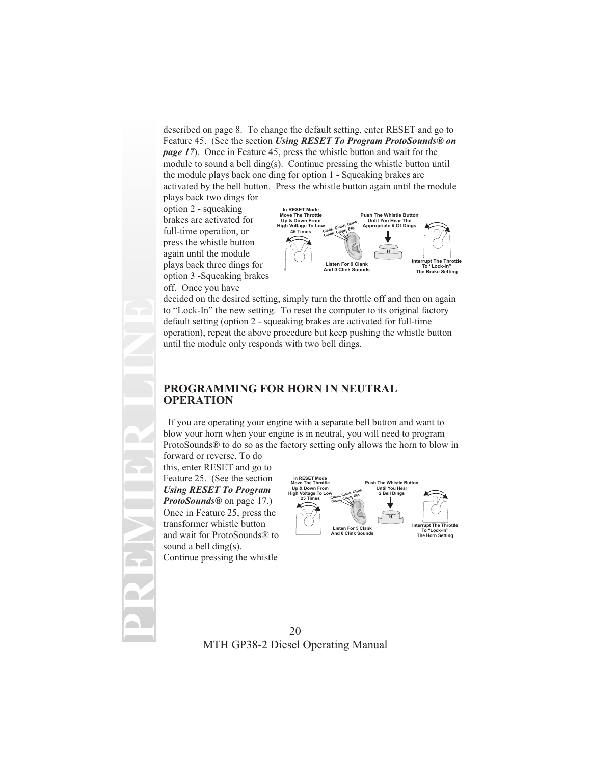described on page 8. To change the default setting, enter RESET and go to Feature 45. (See the section *Using RESET To Program ProtoSounds® on page 17*). Once in Feature 45, press the whistle button and wait for the module to sound a bell ding(s). Continue pressing the whistle button until the module plays back one ding for option 1 - Squeaking brakes are activated by the bell button. Press the whistle button again until the module

plays back two dings for option 2 - squeaking brakes are activated for full-time operation, or press the whistle button again until the module plays back three dings for option 3 -Squeaking brakes off. Once you have



decided on the desired setting, simply turn the throttle off and then on again to "Lock-In" the new setting. To reset the computer to its original factory default setting (option 2 - squeaking brakes are activated for full-time operation), repeat the above procedure but keep pushing the whistle button until the module only responds with two bell dings.

#### **PROGRAMMING FOR HORN IN NEUTRAL OPERATION**

If you are operating your engine with a separate bell button and want to blow your horn when your engine is in neutral, you will need to program ProtoSounds® to do so as the factory setting only allows the horn to blow in

forward or reverse. To do this, enter RESET and go to Feature 25. (See the section *Using RESET To Program ProtoSounds®* on page 17.) Once in Feature 25, press the transformer whistle button and wait for ProtoSounds® to sound a bell ding(s). Continue pressing the whistle

**PREMIER LINE**

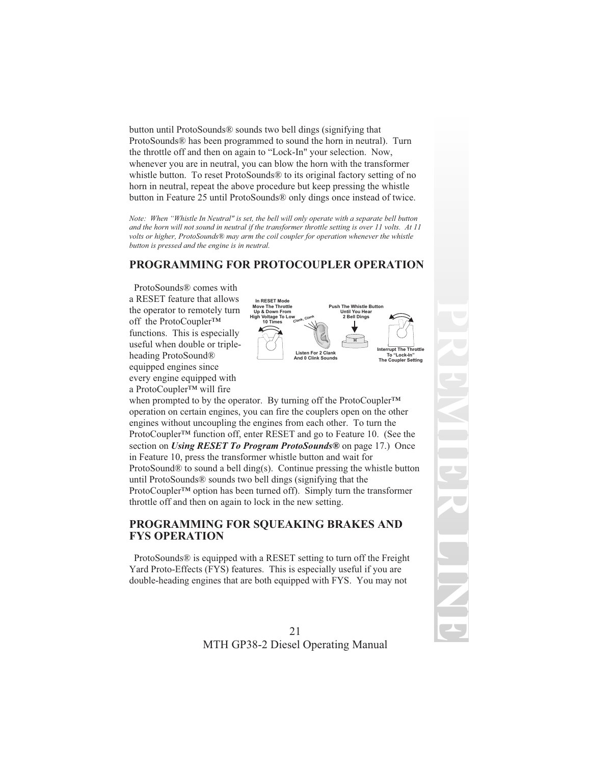button until ProtoSounds® sounds two bell dings (signifying that ProtoSounds® has been programmed to sound the horn in neutral). Turn the throttle off and then on again to "Lock-In" your selection. Now, whenever you are in neutral, you can blow the horn with the transformer whistle button. To reset ProtoSounds<sup>®</sup> to its original factory setting of no horn in neutral, repeat the above procedure but keep pressing the whistle button in Feature 25 until ProtoSounds® only dings once instead of twice.

*Note: When "Whistle In Neutral" is set, the bell will only operate with a separate bell button and the horn will not sound in neutral if the transformer throttle setting is over 11 volts. At 11 volts or higher, ProtoSounds® may arm the coil coupler for operation whenever the whistle button is pressed and the engine is in neutral.*

### **PROGRAMMING FOR PROTOCOUPLER OPERATION**

ProtoSounds® comes with a RESET feature that allows the operator to remotely turn off the ProtoCoupler™ functions. This is especially useful when double or tripleheading ProtoSound® equipped engines since every engine equipped with a ProtoCoupler™ will fire



when prompted to by the operator. By turning off the ProtoCoupler™ operation on certain engines, you can fire the couplers open on the other engines without uncoupling the engines from each other. To turn the ProtoCoupler™ function off, enter RESET and go to Feature 10. (See the section on *Using RESET To Program ProtoSounds®* on page 17.) Once in Feature 10, press the transformer whistle button and wait for ProtoSound® to sound a bell ding(s). Continue pressing the whistle button until ProtoSounds® sounds two bell dings (signifying that the ProtoCoupler™ option has been turned off). Simply turn the transformer throttle off and then on again to lock in the new setting.

#### **PROGRAMMING FOR SQUEAKING BRAKES AND FYS OPERATION**

ProtoSounds® is equipped with a RESET setting to turn off the Freight Yard Proto-Effects (FYS) features. This is especially useful if you are double-heading engines that are both equipped with FYS. You may not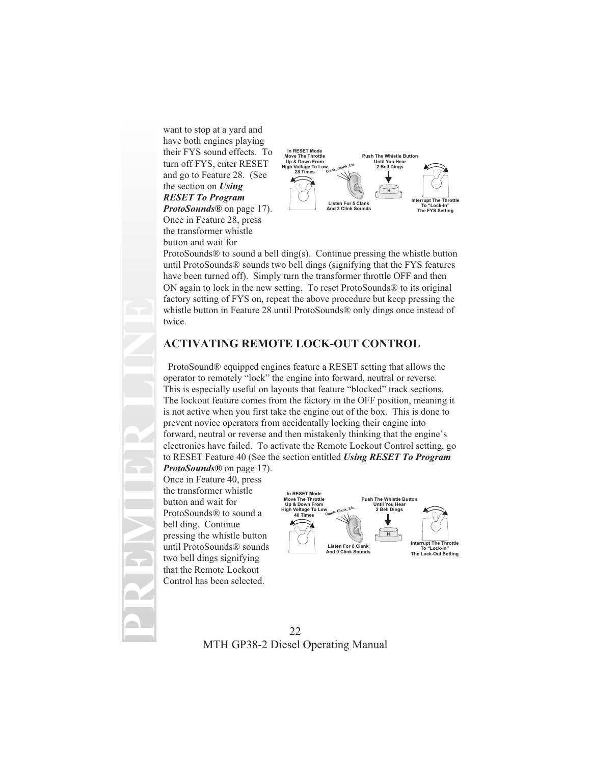want to stop at a yard and have both engines playing their FYS sound effects. To turn off FYS, enter RESET and go to Feature 28. (See the section on *Using RESET To Program ProtoSounds®* on page 17).

Once in Feature 28, press the transformer whistle button and wait for



ProtoSounds® to sound a bell ding(s). Continue pressing the whistle button until ProtoSounds® sounds two bell dings (signifying that the FYS features have been turned off). Simply turn the transformer throttle OFF and then ON again to lock in the new setting. To reset ProtoSounds® to its original factory setting of FYS on, repeat the above procedure but keep pressing the whistle button in Feature 28 until ProtoSounds® only dings once instead of twice.

### **ACTIVATING REMOTE LOCK-OUT CONTROL**

ProtoSound® equipped engines feature a RESET setting that allows the operator to remotely "lock" the engine into forward, neutral or reverse. This is especially useful on layouts that feature "blocked" track sections. The lockout feature comes from the factory in the OFF position, meaning it is not active when you first take the engine out of the box. This is done to prevent novice operators from accidentally locking their engine into forward, neutral or reverse and then mistakenly thinking that the engine's electronics have failed. To activate the Remote Lockout Control setting, go to RESET Feature 40 (See the section entitled *Using RESET To Program*

*ProtoSounds®* on page 17). Once in Feature 40, press the transformer whistle button and wait for ProtoSounds® to sound a bell ding. Continue pressing the whistle button until ProtoSounds® sounds two bell dings signifying that the Remote Lockout Control has been selected.

**PREMIER LINE**

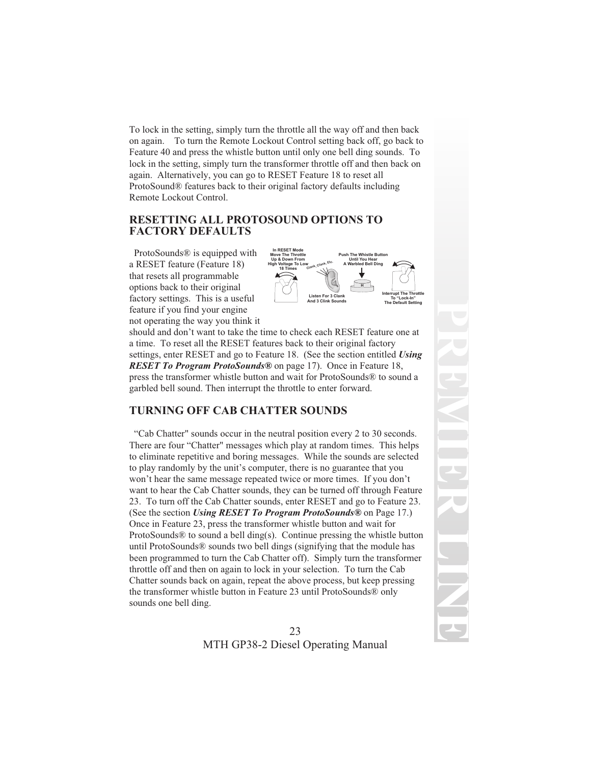To lock in the setting, simply turn the throttle all the way off and then back on again. To turn the Remote Lockout Control setting back off, go back to Feature 40 and press the whistle button until only one bell ding sounds. To lock in the setting, simply turn the transformer throttle off and then back on again. Alternatively, you can go to RESET Feature 18 to reset all ProtoSound® features back to their original factory defaults including Remote Lockout Control.

### **RESETTING ALL PROTOSOUND OPTIONS TO FACTORY DEFAULTS**

ProtoSounds® is equipped with a RESET feature (Feature 18) that resets all programmable options back to their original factory settings. This is a useful feature if you find your engine not operating the way you think it



should and don't want to take the time to check each RESET feature one at a time. To reset all the RESET features back to their original factory settings, enter RESET and go to Feature 18. (See the section entitled *Using RESET To Program ProtoSounds®* on page 17). Once in Feature 18, press the transformer whistle button and wait for ProtoSounds® to sound a garbled bell sound. Then interrupt the throttle to enter forward.

### **TURNING OFF CAB CHATTER SOUNDS**

"Cab Chatter" sounds occur in the neutral position every 2 to 30 seconds. There are four "Chatter" messages which play at random times. This helps to eliminate repetitive and boring messages. While the sounds are selected to play randomly by the unit's computer, there is no guarantee that you won't hear the same message repeated twice or more times. If you don't want to hear the Cab Chatter sounds, they can be turned off through Feature 23. To turn off the Cab Chatter sounds, enter RESET and go to Feature 23. (See the section *Using RESET To Program ProtoSounds®* on Page 17.) Once in Feature 23, press the transformer whistle button and wait for ProtoSounds® to sound a bell ding(s). Continue pressing the whistle button until ProtoSounds® sounds two bell dings (signifying that the module has been programmed to turn the Cab Chatter off). Simply turn the transformer throttle off and then on again to lock in your selection. To turn the Cab Chatter sounds back on again, repeat the above process, but keep pressing the transformer whistle button in Feature 23 until ProtoSounds® only sounds one bell ding.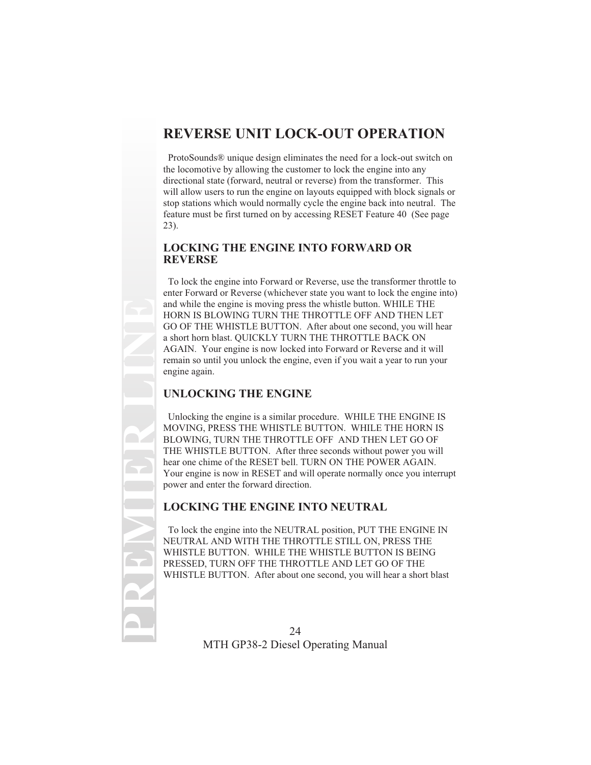# **REVERSE UNIT LOCK-OUT OPERATION**

ProtoSounds® unique design eliminates the need for a lock-out switch on the locomotive by allowing the customer to lock the engine into any directional state (forward, neutral or reverse) from the transformer. This will allow users to run the engine on layouts equipped with block signals or stop stations which would normally cycle the engine back into neutral. The feature must be first turned on by accessing RESET Feature 40 (See page 23).

#### **LOCKING THE ENGINE INTO FORWARD OR REVERSE**

To lock the engine into Forward or Reverse, use the transformer throttle to enter Forward or Reverse (whichever state you want to lock the engine into) and while the engine is moving press the whistle button. WHILE THE HORN IS BLOWING TURN THE THROTTLE OFF AND THEN LET GO OF THE WHISTLE BUTTON. After about one second, you will hear a short horn blast. QUICKLY TURN THE THROTTLE BACK ON AGAIN. Your engine is now locked into Forward or Reverse and it will remain so until you unlock the engine, even if you wait a year to run your engine again.

### **UNLOCKING THE ENGINE**

**PREMIER LINE**

Unlocking the engine is a similar procedure. WHILE THE ENGINE IS MOVING, PRESS THE WHISTLE BUTTON. WHILE THE HORN IS BLOWING, TURN THE THROTTLE OFF AND THEN LET GO OF THE WHISTLE BUTTON. After three seconds without power you will hear one chime of the RESET bell. TURN ON THE POWER AGAIN. Your engine is now in RESET and will operate normally once you interrupt power and enter the forward direction.

### **LOCKING THE ENGINE INTO NEUTRAL**

To lock the engine into the NEUTRAL position, PUT THE ENGINE IN NEUTRAL AND WITH THE THROTTLE STILL ON, PRESS THE WHISTLE BUTTON. WHILE THE WHISTLE BUTTON IS BEING PRESSED, TURN OFF THE THROTTLE AND LET GO OF THE WHISTLE BUTTON. After about one second, you will hear a short blast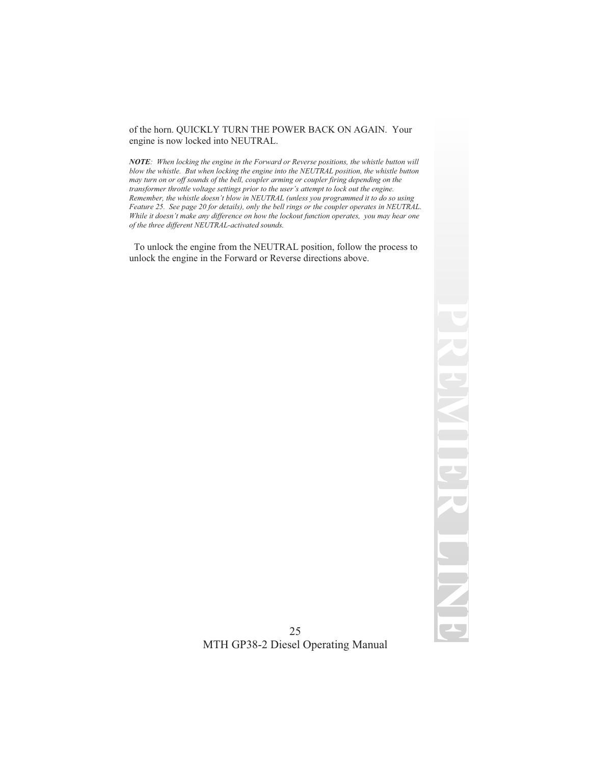#### of the horn. QUICKLY TURN THE POWER BACK ON AGAIN. Your engine is now locked into NEUTRAL.

*NOTE: When locking the engine in the Forward or Reverse positions, the whistle button will blow the whistle. But when locking the engine into the NEUTRAL position, the whistle button may turn on or off sounds of the bell, coupler arming or coupler firing depending on the transformer throttle voltage settings prior to the user's attempt to lock out the engine. Remember, the whistle doesn't blow in NEUTRAL (unless you programmed it to do so using Feature 25. See page 20 for details), only the bell rings or the coupler operates in NEUTRAL. While it doesn't make any difference on how the lockout function operates, you may hear one of the three different NEUTRAL-activated sounds.*

To unlock the engine from the NEUTRAL position, follow the process to unlock the engine in the Forward or Reverse directions above.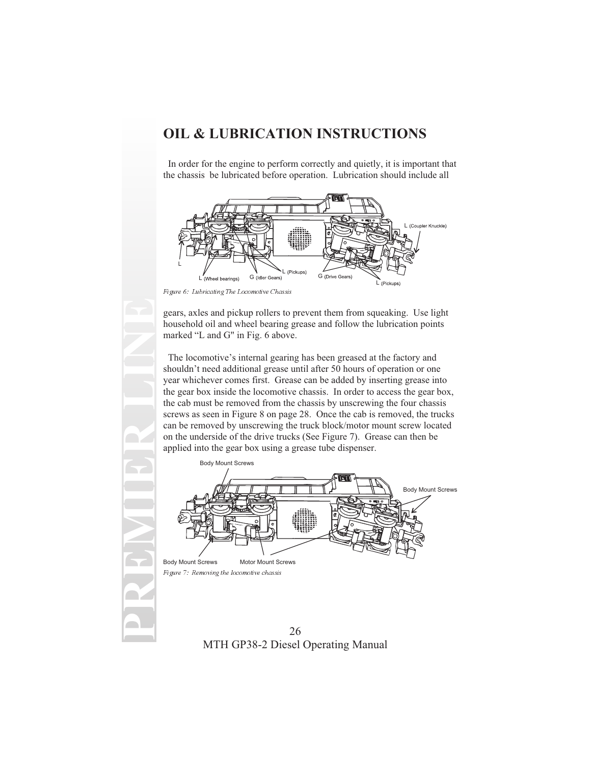## **OIL & LUBRICATION INSTRUCTIONS**

In order for the engine to perform correctly and quietly, it is important that the chassis be lubricated before operation. Lubrication should include all



Figure 6: Lubricating The Locomotive Chassis

gears, axles and pickup rollers to prevent them from squeaking. Use light household oil and wheel bearing grease and follow the lubrication points marked "L and G" in Fig. 6 above.

The locomotive's internal gearing has been greased at the factory and shouldn't need additional grease until after 50 hours of operation or one year whichever comes first. Grease can be added by inserting grease into the gear box inside the locomotive chassis. In order to access the gear box, the cab must be removed from the chassis by unscrewing the four chassis screws as seen in Figure 8 on page 28. Once the cab is removed, the trucks can be removed by unscrewing the truck block/motor mount screw located on the underside of the drive trucks (See Figure 7). Grease can then be applied into the gear box using a grease tube dispenser.



Figure 7: Removing the locomotive chassis

26 MTH GP38-2 Diesel Operating Manual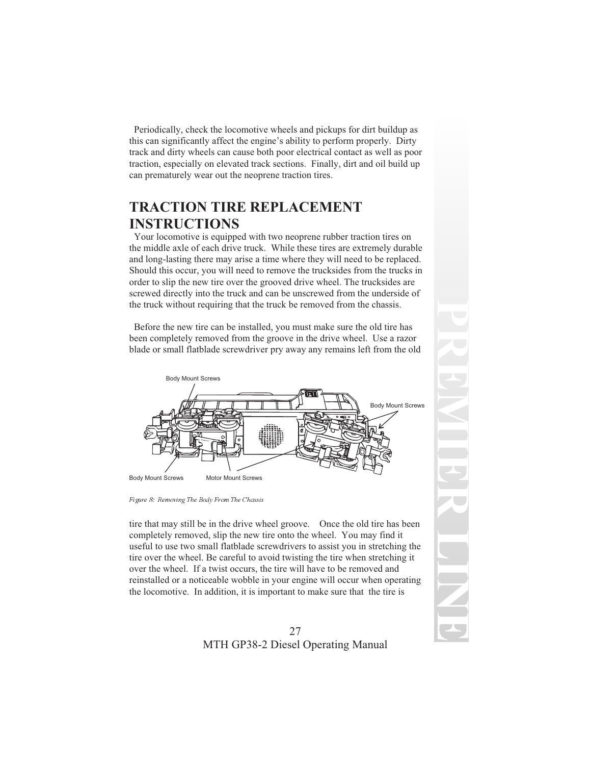Periodically, check the locomotive wheels and pickups for dirt buildup as this can significantly affect the engine's ability to perform properly. Dirty track and dirty wheels can cause both poor electrical contact as well as poor traction, especially on elevated track sections. Finally, dirt and oil build up can prematurely wear out the neoprene traction tires.

# **TRACTION TIRE REPLACEMENT INSTRUCTIONS**

Your locomotive is equipped with two neoprene rubber traction tires on the middle axle of each drive truck. While these tires are extremely durable and long-lasting there may arise a time where they will need to be replaced. Should this occur, you will need to remove the trucksides from the trucks in order to slip the new tire over the grooved drive wheel. The trucksides are screwed directly into the truck and can be unscrewed from the underside of the truck without requiring that the truck be removed from the chassis.

Before the new tire can be installed, you must make sure the old tire has been completely removed from the groove in the drive wheel. Use a razor blade or small flatblade screwdriver pry away any remains left from the old



Figure 8: Removing The Body From The Chassis

tire that may still be in the drive wheel groove. Once the old tire has been completely removed, slip the new tire onto the wheel. You may find it useful to use two small flatblade screwdrivers to assist you in stretching the tire over the wheel. Be careful to avoid twisting the tire when stretching it over the wheel. If a twist occurs, the tire will have to be removed and reinstalled or a noticeable wobble in your engine will occur when operating the locomotive. In addition, it is important to make sure that the tire is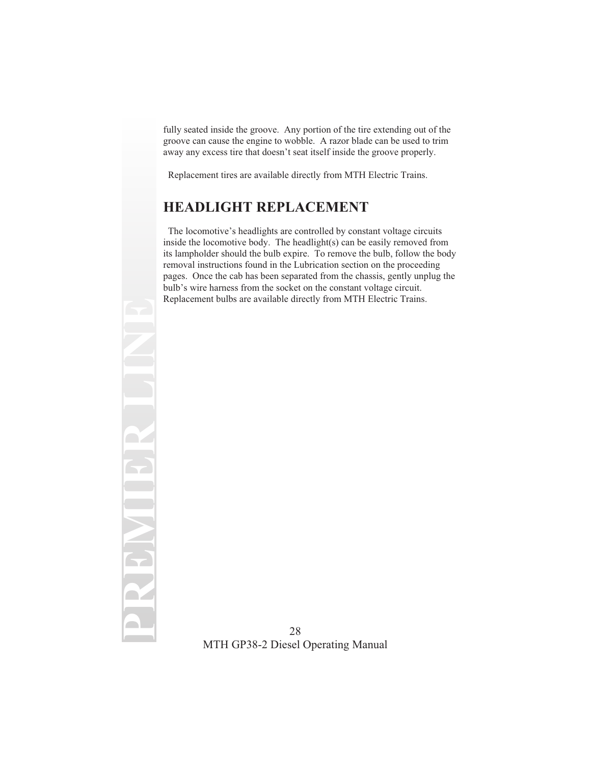fully seated inside the groove. Any portion of the tire extending out of the groove can cause the engine to wobble. A razor blade can be used to trim away any excess tire that doesn't seat itself inside the groove properly.

Replacement tires are available directly from MTH Electric Trains.

# **HEADLIGHT REPLACEMENT**

**PREMIER LINE**

The locomotive's headlights are controlled by constant voltage circuits inside the locomotive body. The headlight(s) can be easily removed from its lampholder should the bulb expire. To remove the bulb, follow the body removal instructions found in the Lubrication section on the proceeding pages. Once the cab has been separated from the chassis, gently unplug the bulb's wire harness from the socket on the constant voltage circuit. Replacement bulbs are available directly from MTH Electric Trains.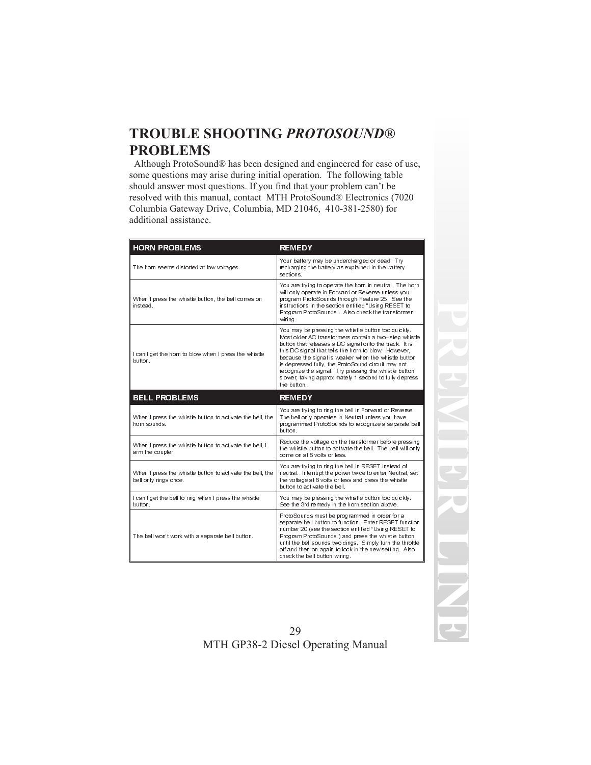# **TROUBLE SHOOTING** *PROTOSOUND®* **PROBLEMS**

Although ProtoSound® has been designed and engineered for ease of use, some questions may arise during initial operation. The following table should answer most questions. If you find that your problem can't be resolved with this manual, contact MTH ProtoSound® Electronics (7020 Columbia Gateway Drive, Columbia, MD 21046, 410-381-2580) for additional assistance.

| <b>HORN PROBLEMS</b>                                                               | <b>REMEDY</b>                                                                                                                                                                                                                                                                                                                                                                                                                                                                 |
|------------------------------------------------------------------------------------|-------------------------------------------------------------------------------------------------------------------------------------------------------------------------------------------------------------------------------------------------------------------------------------------------------------------------------------------------------------------------------------------------------------------------------------------------------------------------------|
| The horn seems distorted at low voltages.                                          | Your battery may be undercharged or dead. Try<br>recharging the battery as explained in the battery<br>sections                                                                                                                                                                                                                                                                                                                                                               |
| When I press the whistle button, the bell comes on<br>instead                      | You are trying to operate the horn in neutral. The horn<br>will only operate in Forward or Reverse unless you<br>program ProtoSounds through Feature 25. See the<br>instructions in the section entitled "Using RESET to<br>Program ProtoSounds". Also check the transformer<br>wirina.                                                                                                                                                                                       |
| I can't get the horn to blow when I press the whistle<br>button                    | You may be pressing the whistle button too quickly.<br>Most older AC transformers contain a two-step whistle<br>button that releases a DC signal onto the track. It is<br>this DC signal that tells the horn to blow. However,<br>because the signal is weaker when the whistle button<br>is depressed fully, the ProtoSound circuit may not<br>recognize the signal. Try pressing the whistle button<br>slower, taking approximately 1 second to fully depress<br>the button |
| <b>BELL PROBLEMS</b>                                                               | <b>REMEDY</b>                                                                                                                                                                                                                                                                                                                                                                                                                                                                 |
|                                                                                    |                                                                                                                                                                                                                                                                                                                                                                                                                                                                               |
| When I press the whistle button to activate the bell, the<br>horn sounds.          | You are trying to ring the bell in Forward or Reverse.<br>The bell only operates in Neutral unless you have<br>programmed ProtoSounds to recognize a separate bell<br>button                                                                                                                                                                                                                                                                                                  |
| When I press the whistle button to activate the bell, I<br>arm the coupler.        | Reduce the voltage on the transformer before pressing<br>the whistle button to activate the bell. The bell will only<br>come on at 8 volts or less                                                                                                                                                                                                                                                                                                                            |
| When I press the whistle button to activate the bell, the<br>bell only rings once. | You are trying to ring the bell in RESET instead of<br>neutral. Interrupt the power twice to enter Neutral, set<br>the voltage at 8 volts or less and press the whistle<br>button to activate the bell                                                                                                                                                                                                                                                                        |
| I can't get the bell to ring when I press the whistle<br>button                    | You may be pressing the whistle button too quickly.<br>See the 3rd remedy in the horn section above.                                                                                                                                                                                                                                                                                                                                                                          |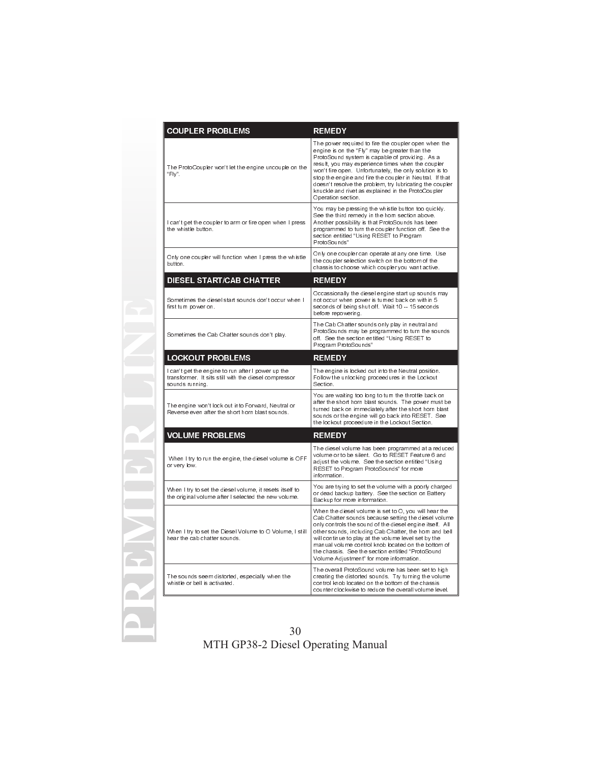| <b>COUPLER PROBLEMS</b>                                                                                                        | <b>REMEDY</b>                                                                                                                                                                                                                                                                                                                                                                                                                                                                |
|--------------------------------------------------------------------------------------------------------------------------------|------------------------------------------------------------------------------------------------------------------------------------------------------------------------------------------------------------------------------------------------------------------------------------------------------------------------------------------------------------------------------------------------------------------------------------------------------------------------------|
| The ProtoCoupler won't let the engine uncouple on the<br>"Fly".                                                                | The power required to fire the coupler open when the<br>engine is on the "Fly" may be greater than the<br>ProtoSound system is capable of providing As a<br>result, you may experience times when the coupler<br>won't fire open. Unfortunately, the only solution is to<br>stop the engine and fire the coupler in Neutral. If that<br>doesn't resolve the problem, try lubricating the coupler<br>knuckle and rivet as explained in the ProtoCoupler<br>Operation section. |
| I can't get the coupler to arm or fire open when I press<br>the whistle button.                                                | You may be pressing the whistle button too quickly.<br>See the third remedy in the horn section above.<br>Another possibility is that ProtoSounds has been<br>programmed to turn the coupler function off. See the<br>section entitled "Using RESET to Program<br>ProtoSounds"                                                                                                                                                                                               |
| Only one coupler will function when I press the whistle<br>button.                                                             | Only one coupler can operate at any one time. Use<br>the coupler selection switch on the bottom of the<br>chassis to choose which coupler you want active.                                                                                                                                                                                                                                                                                                                   |
| <b>DIESEL START/CAB CHATTER</b>                                                                                                | <b>REMEDY</b>                                                                                                                                                                                                                                                                                                                                                                                                                                                                |
| Sometimes the diesel start sounds don't occur when I<br>first turn power on.                                                   | Occassionally the diesel engine start up sounds may<br>not occur when power is turned back on within 5<br>seconds of being shut off. Wait 10 -- 15 seconds<br>before repowering.                                                                                                                                                                                                                                                                                             |
| Sometimes the Cab Chatter sounds don't play.                                                                                   | The Cab Chatter sounds only play in neutral and<br>ProtoSounds may be programmed to turn the sounds<br>off. See the section entitled "Using RESET to<br>Program ProtoSounds"                                                                                                                                                                                                                                                                                                 |
| <b>LOCKOUT PROBLEMS</b>                                                                                                        | <b>REMEDY</b>                                                                                                                                                                                                                                                                                                                                                                                                                                                                |
| I can't get the engine to run after I power up the<br>transformer. It sits still with the diesel compressor<br>sounds running. | The engine is locked out into the Neutral position.<br>Follow the unlocking proceedures in the Lockout<br>Section.                                                                                                                                                                                                                                                                                                                                                           |
| The engine won't lock out into Forward, Neutral or<br>Reverse even after the short horn blast sounds.                          | You are waiting too long to turn the throttle back on<br>after the short horn blast sounds. The power must be<br>turned back on immediately after the short horn blast<br>sounds or the engine will go back into RESET. See<br>the lockout proceedure in the Lockout Section.                                                                                                                                                                                                |
| <b>VOLUME PROBLEMS</b>                                                                                                         | <b>REMEDY</b>                                                                                                                                                                                                                                                                                                                                                                                                                                                                |
| When I try to run the engine, the diesel volume is OFF<br>or very low.                                                         | The diesel volume has been programmed at a reduced<br>volume or to be silent Go to RESET Feature 6 and<br>adjust the volume. See the section entitled "Using<br>RESET to Program ProtoSounds" for more<br>information.                                                                                                                                                                                                                                                       |
| When I try to set the diesel volume, it resets itself to<br>the original volume after I selected the new volume.               | You are trying to set the volume with a poorly charged<br>or dead backup battery. See the section on Battery<br>Backup for more information.                                                                                                                                                                                                                                                                                                                                 |
| When I try to set the Diesel Volume to O Volume, I still<br>hear the cab chatter sounds                                        | When the diesel volume is set to O, you will hear the<br>Cab Chatter sounds because setting the diesel volume<br>only controls the sound of the diesel engine itself. All<br>other sounds, including Cab Chatter, the horn and bell<br>will continue to play at the volume level set by the<br>manual volume control knob located on the bottom of<br>the chassis. See the section entitled "ProtoSound<br>Volume Adjustment" for more information.                          |
| The sounds seem distorted, especially when the<br>whistle or bell is activated.                                                | The overall ProtoSound volume has been set to high<br>creating the distorted sounds. Try turning the volume<br>control knob located on the bottom of the chassis<br>counter clockwise to reduce the overall volume level.                                                                                                                                                                                                                                                    |

**PREMIER LINE**

 $\leftarrow$ 

RE

 $\equiv$ 

22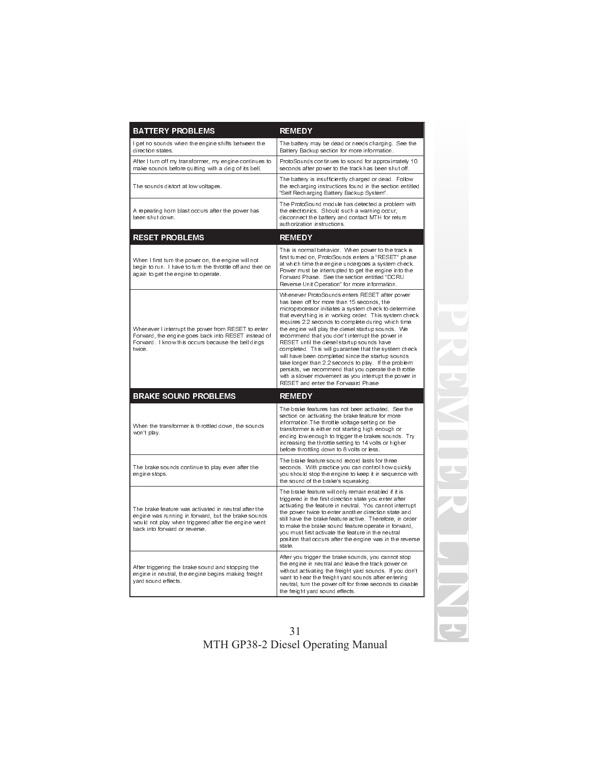| <b>BATTERY PROBLEMS</b>                                                                                                                                                                             | <b>REMEDY</b>                                                                                                                                                                                                                                                                                                                                                                                                                                                                                                                                                                                                                                                                                                                                         |
|-----------------------------------------------------------------------------------------------------------------------------------------------------------------------------------------------------|-------------------------------------------------------------------------------------------------------------------------------------------------------------------------------------------------------------------------------------------------------------------------------------------------------------------------------------------------------------------------------------------------------------------------------------------------------------------------------------------------------------------------------------------------------------------------------------------------------------------------------------------------------------------------------------------------------------------------------------------------------|
| I get no sounds when the engine shifts between the<br>direction states.                                                                                                                             | The battery may be dead or needs charging. See the<br>Battery Backup section for more information.                                                                                                                                                                                                                                                                                                                                                                                                                                                                                                                                                                                                                                                    |
| After I turn off my transformer, my engine continues to<br>make sounds before quitting with a ding of its bell.                                                                                     | ProtoSounds continues to sound for approximately 10<br>seconds after power to the track has been shut off.                                                                                                                                                                                                                                                                                                                                                                                                                                                                                                                                                                                                                                            |
| The sounds distort at low voltages.                                                                                                                                                                 | The battery is insufficiently charged or dead. Follow<br>the recharging instructions found in the section entitled<br>"Self Recharging Battery Backup System".                                                                                                                                                                                                                                                                                                                                                                                                                                                                                                                                                                                        |
| A repeating horn blast occurs after the power has<br>been shut down.                                                                                                                                | The ProtoSound module has detected a problem with<br>the electronics. Should such a warning occur.<br>disconnect the battery and contact MTH for return<br>authorization instructions                                                                                                                                                                                                                                                                                                                                                                                                                                                                                                                                                                 |
| <b>RESET PROBLEMS</b>                                                                                                                                                                               | <b>REMEDY</b>                                                                                                                                                                                                                                                                                                                                                                                                                                                                                                                                                                                                                                                                                                                                         |
| When I first turn the power on, the engine will not<br>begin to run. I have to turn the throttle off and then on<br>again to get the engine to operate.                                             | This is normal behavior. When power to the track is<br>first turned on, ProtoSounds enters a "RESET" phase<br>at which time the engine undergoes a system check.<br>Power must be interrupted to get the engine into the<br>Forward Phase. See the section entitled "DCRU<br>Reverse Unit Operation" for more information.                                                                                                                                                                                                                                                                                                                                                                                                                            |
| Whenever I interrupt the power from RESET to enter<br>Forward, the engine goes back into RESET instead of<br>Forward. I know this occurs because the bell dings<br>twice.                           | Whenever ProtoSounds enters RESET after power<br>has been off for more than 15 seconds, the<br>microprocessor initiates a system check to determine<br>that everything is in working order. This system check<br>requires 2.2 seconds to complete during which time<br>the engine will play the diesel startup sounds. We<br>recommend that you don't interrupt the power in<br>RESET until the diesel startup sounds have<br>completed. This will guarantee that the system check<br>will have been completed since the startup sounds<br>take longer than 2.2 seconds to play. If the problem<br>persists, we recommend that you operate the throttle<br>with a slower movement as you interrupt the power in<br>RESET and enter the Forwaard Phase |
| <b>BRAKE SOUND PROBLEMS</b>                                                                                                                                                                         | <b>REMEDY</b>                                                                                                                                                                                                                                                                                                                                                                                                                                                                                                                                                                                                                                                                                                                                         |
| When the transformer is throttled down, the sounds<br>won't play.                                                                                                                                   | The brake features has not been activated. See the<br>section on activating the brake feature for more<br>information. The throttle voltage setting on the<br>transformer is either not starting high enough or<br>ending low enough to trigger the brakes sounds. Try<br>increasing the throttle setting to 14 volts or higher<br>before throttling down to 8 volts or less.                                                                                                                                                                                                                                                                                                                                                                         |
| The brake sounds continue to play even after the<br>engine stops.                                                                                                                                   | The brake feature sound record lasts for three<br>seconds. With practice you can control how quickly<br>you should stop the engine to keep it in sequence with<br>the sound of the brake's squeaking.                                                                                                                                                                                                                                                                                                                                                                                                                                                                                                                                                 |
| The brake feature was activated in neutral after the<br>engine was running in forward, but the brake sounds<br>would not play when triggered after the engine went<br>back into forward or reverse. | The brake feature will only remain enabled if it is<br>triggered in the first direction state you enter after<br>activating the feature in neutral. You cannot interrupt<br>the power twice to enter another direction state and<br>still have the brake feature active. Therefore, in order<br>to make the brake sound feature operate in forward.<br>you must first activate the feature in the neutral<br>position that occurs after the engine was in the reverse<br>state.                                                                                                                                                                                                                                                                       |
| After triggering the brake sound and stopping the<br>engine in neutral, the engine begins making freight<br>yard sound effects.                                                                     | After you trigger the brake sounds, you cannot stop<br>the engine in neutral and leave the track power on<br>without activating the freight yard sounds. If you don't<br>want to hear the freight yard sounds after entering<br>neutral, turn the power off for three seconds to disable<br>the freight yard sound effects.                                                                                                                                                                                                                                                                                                                                                                                                                           |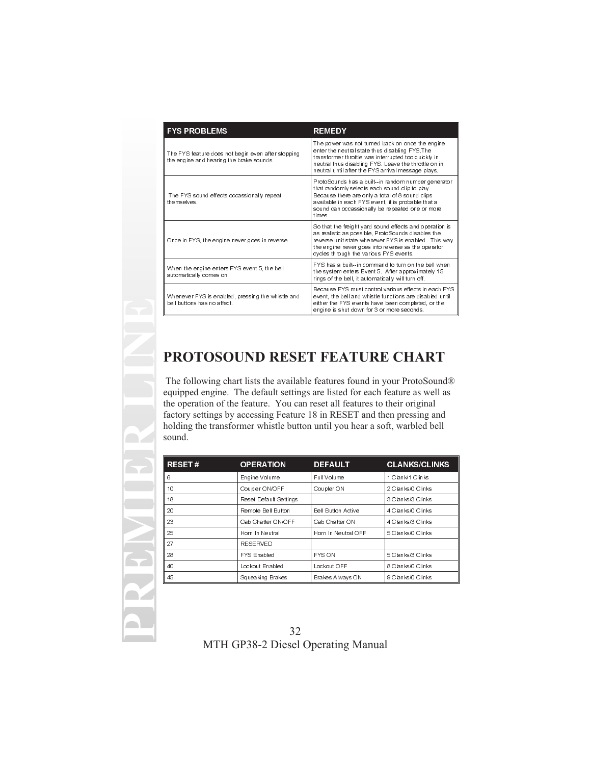| <b>FYS PROBLEMS</b>                                                                            | <b>REMEDY</b>                                                                                                                                                                                                                                                             |
|------------------------------------------------------------------------------------------------|---------------------------------------------------------------------------------------------------------------------------------------------------------------------------------------------------------------------------------------------------------------------------|
| The FYS feature does not begin even after stopping<br>the engine and hearing the brake sounds. | The power was not turned back on once the engine<br>enter the neutral state thus disabling FYS The<br>transformer throttle was interrupted too quickly in<br>neutral thus disabling FYS. Leave the throttle on in<br>neutral until after the FYS arrival message plays.   |
| The FYS sound effects occassionally repeat<br>themselves                                       | ProtoSounds has a built-in random number generator<br>that randomly selects each sound clip to play.<br>Because there are only a total of 8 sound clips<br>available in each FYS event, it is probable that a<br>sound can occassionally be repeated one or more<br>times |
| Once in FYS, the engine never goes in reverse.                                                 | So that the freight yard sound effects and operation is<br>as realistic as possible, ProtoSounds disables the<br>reverse unit state whenever FYS is enabled. This way<br>the engine never goes into reverse as the operator<br>cycles through the various FYS events.     |
| When the engine enters FYS event 5, the bell<br>automatically comes on.                        | FYS has a built--in command to turn on the bell when<br>the system enters Event 5. After approximately 15<br>rings of the bell, it automatically will turn off.                                                                                                           |
| Whenever FYS is enabled, pressing the whistle and<br>bell buttons has no affect                | Because FYS must control various effects in each FYS<br>event, the bell and whistle functions are disabled until<br>either the FYS events have been completed, or the<br>engine is shut down for 3 or more seconds.                                                       |

# **PROTOSOUND RESET FEATURE CHART**

The following chart lists the available features found in your ProtoSound® equipped engine. The default settings are listed for each feature as well as the operation of the feature. You can reset all features to their original factory settings by accessing Feature 18 in RESET and then pressing and holding the transformer whistle button until you hear a soft, warbled bell sound.

| <b>RESET#</b> | <b>OPERATION</b>       | <b>DEFAULT</b>      | <b>CLANKS/CLINKS</b> |
|---------------|------------------------|---------------------|----------------------|
| 6             | Engine Volume          | Full Volume         | 1 Clank/1 Clinks     |
| 10            | Coupler ON/OFF         | Coupler ON          | 2 Clanks/0 Clinks    |
| 18            | Reset Default Settings |                     | 3 Clanks/3 Clinks    |
| 20            | Remote Bell Button     | Bell Button Active  | 4 Clanks/0 Clinks    |
| 23            | Cab Chatter ON/OFF     | Cab Chatter ON      | 4 Clanks/3 Clinks    |
| 25            | Horn In Neutral        | Horn In Neutral OFF | 5 Clanks/0 Clinks    |
| 27            | <b>RESERVED</b>        |                     |                      |
| 28            | <b>FYS Enabled</b>     | <b>FYS ON</b>       | 5 Clanks/3 Clinks    |
| 40            | Lockout Enabled        | Lockout OFF         | 8 Clanks/0 Clinks    |
| 45            | Squeaking Brakes       | Brakes Always ON    | 9 Clanks/0 Clinks    |

**PREMIER LINE**

32 MTH GP38-2 Diesel Operating Manual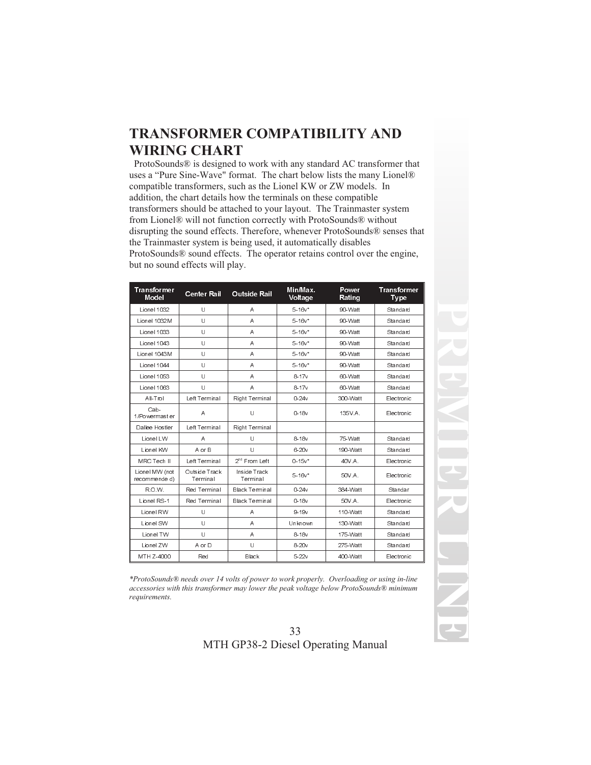# **TRANSFORMER COMPATIBILITY AND WIRING CHART**

ProtoSounds® is designed to work with any standard AC transformer that uses a "Pure Sine-Wave" format. The chart below lists the many Lionel® compatible transformers, such as the Lionel KW or ZW models. In addition, the chart details how the terminals on these compatible transformers should be attached to your layout. The Trainmaster system from Lionel® will not function correctly with ProtoSounds® without disrupting the sound effects. Therefore, whenever ProtoSounds® senses that the Trainmaster system is being used, it automatically disables ProtoSounds® sound effects. The operator retains control over the engine, but no sound effects will play.

| <b>Transformer</b><br>Model     | <b>Center Rail</b>        | Outside Rail              | Min/Max.<br>Voltage | Power<br>Rating | Transformer<br>Type |
|---------------------------------|---------------------------|---------------------------|---------------------|-----------------|---------------------|
| Lionel 1032                     | U                         | A                         | $5.16v*$            | 90-Watt         | Standard            |
| Lionel 1032M                    | U                         | A                         | $5.16v*$            | 90-Watt         | Standard            |
| Lionel 1033                     | U                         | A                         | $5.16v*$            | 90-Watt         | Standard            |
| Lionel 1043                     | U                         | A                         | $5.16v*$            | 90-Watt         | Standard            |
| Lionel 1043M                    | U                         | A                         | $5.16v*$            | 90-Watt         | Standard            |
| Lionel 1044                     | U                         | A                         | $5.16v*$            | 90-Watt         | Standard            |
| Lionel 1053                     | U                         | A                         | $8 - 17v$           | 60-Watt         | Standard            |
| Lionel 1063                     | U                         | A                         | $8 - 17v$           | 60-Watt         | Standard            |
| All-Trol                        | Left Terminal             | RightTerminal             | $0 - 24v$           | 300-Watt        | Electronic          |
| Cab-<br>1/Powermast er          | A                         | U                         | 0.18v               | 135V.A.         | Electronic          |
| Dallee Hostler                  | Left Terminal             | Right Terminal            |                     |                 |                     |
| Lionel LW                       | Α                         | U                         | $8-18v$             | 75-Watt         | Standard            |
| Lionel KW                       | A or B                    | $\mathbf{U}$              | $6 - 20v$           | 190 Watt        | Standard            |
| MRC Tech II                     | Left Terminal             | 2 <sup>nd</sup> From Left | $0.15v*$            | 40V A           | Electronic          |
| Lionel MW (not<br>recommende d) | Outside Track<br>Terminal | Inside Track<br>Terminal  | $5.16v*$            | 50V.A.          | Electronic          |
| R.O.W.                          | Red Terminal              | <b>Black Terminal</b>     | 0.24v               | 384-Watt        | Standar             |
| Lionel RS-1                     | Red Terminal              | Black Terminal            | 0.18v               | 50V A           | Electronic          |
| Lionel RW                       | U                         | A                         | 9.19v               | 110-Watt        | Standard            |
| Lionel SW                       | U                         | A                         | Unknown             | 130-Watt        | Standard            |
| Lionel TW                       | U                         | A                         | $8-18v$             | 175 Watt        | Standard            |
| Lionel ZW                       | A or D                    | U                         | $8-20v$             | 275 Watt        | Standard            |
| MTH Z-4000                      | Red                       | Black                     | $5-22v$             | 400-Watt        | Electronic          |

*\*ProtoSounds® needs over 14 volts of power to work properly. Overloading or using in-line accessories with this transformer may lower the peak voltage below ProtoSounds® minimum requirements.*

33 MTH GP38-2 Diesel Operating Manual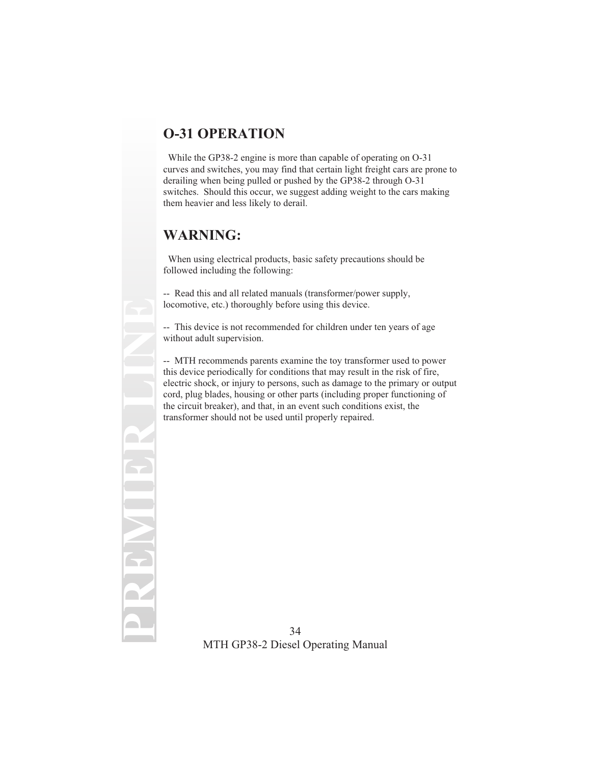# **O-31 OPERATION**

While the GP38-2 engine is more than capable of operating on O-31 curves and switches, you may find that certain light freight cars are prone to derailing when being pulled or pushed by the GP38-2 through O-31 switches. Should this occur, we suggest adding weight to the cars making them heavier and less likely to derail.

## **WARNING:**

**PREMIER LINE**

When using electrical products, basic safety precautions should be followed including the following:

-- Read this and all related manuals (transformer/power supply, locomotive, etc.) thoroughly before using this device.

-- This device is not recommended for children under ten years of age without adult supervision.

-- MTH recommends parents examine the toy transformer used to power this device periodically for conditions that may result in the risk of fire, electric shock, or injury to persons, such as damage to the primary or output cord, plug blades, housing or other parts (including proper functioning of the circuit breaker), and that, in an event such conditions exist, the transformer should not be used until properly repaired.